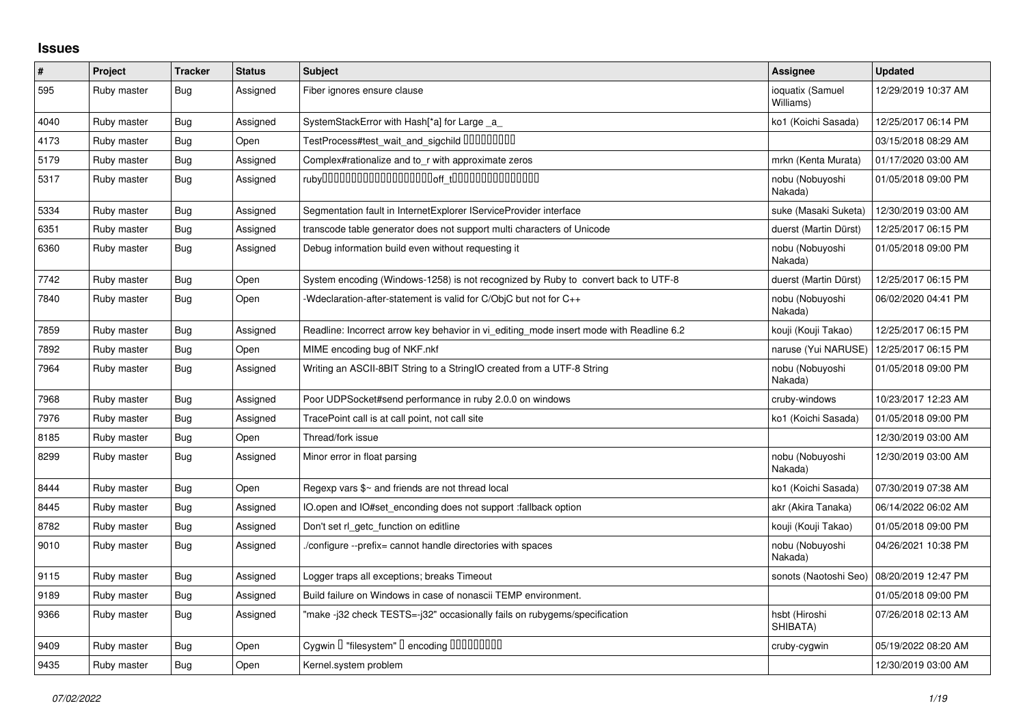## **Issues**

| $\vert$ # | Project     | <b>Tracker</b> | <b>Status</b> | <b>Subject</b>                                                                          | <b>Assignee</b>               | <b>Updated</b>      |
|-----------|-------------|----------------|---------------|-----------------------------------------------------------------------------------------|-------------------------------|---------------------|
| 595       | Ruby master | <b>Bug</b>     | Assigned      | Fiber ignores ensure clause                                                             | ioquatix (Samuel<br>Williams) | 12/29/2019 10:37 AM |
| 4040      | Ruby master | <b>Bug</b>     | Assigned      | SystemStackError with Hash[*a] for Large _a_                                            | ko1 (Koichi Sasada)           | 12/25/2017 06:14 PM |
| 4173      | Ruby master | <b>Bug</b>     | Open          | TestProcess#test_wait_and_sigchild DDDDDDDD                                             |                               | 03/15/2018 08:29 AM |
| 5179      | Ruby master | <b>Bug</b>     | Assigned      | Complex#rationalize and to_r with approximate zeros                                     | mrkn (Kenta Murata)           | 01/17/2020 03:00 AM |
| 5317      | Ruby master | <b>Bug</b>     | Assigned      |                                                                                         | nobu (Nobuyoshi<br>Nakada)    | 01/05/2018 09:00 PM |
| 5334      | Ruby master | <b>Bug</b>     | Assigned      | Segmentation fault in InternetExplorer IServiceProvider interface                       | suke (Masaki Suketa)          | 12/30/2019 03:00 AM |
| 6351      | Ruby master | <b>Bug</b>     | Assigned      | transcode table generator does not support multi characters of Unicode                  | duerst (Martin Dürst)         | 12/25/2017 06:15 PM |
| 6360      | Ruby master | <b>Bug</b>     | Assigned      | Debug information build even without requesting it                                      | nobu (Nobuyoshi<br>Nakada)    | 01/05/2018 09:00 PM |
| 7742      | Ruby master | <b>Bug</b>     | Open          | System encoding (Windows-1258) is not recognized by Ruby to convert back to UTF-8       | duerst (Martin Dürst)         | 12/25/2017 06:15 PM |
| 7840      | Ruby master | <b>Bug</b>     | Open          | Wedclaration-after-statement is valid for C/ObjC but not for C++                        | nobu (Nobuyoshi<br>Nakada)    | 06/02/2020 04:41 PM |
| 7859      | Ruby master | Bug            | Assigned      | Readline: Incorrect arrow key behavior in vi editing mode insert mode with Readline 6.2 | kouji (Kouji Takao)           | 12/25/2017 06:15 PM |
| 7892      | Ruby master | <b>Bug</b>     | Open          | MIME encoding bug of NKF.nkf                                                            | naruse (Yui NARUSE)           | 12/25/2017 06:15 PM |
| 7964      | Ruby master | <b>Bug</b>     | Assigned      | Writing an ASCII-8BIT String to a StringIO created from a UTF-8 String                  | nobu (Nobuyoshi<br>Nakada)    | 01/05/2018 09:00 PM |
| 7968      | Ruby master | <b>Bug</b>     | Assigned      | Poor UDPSocket#send performance in ruby 2.0.0 on windows                                | cruby-windows                 | 10/23/2017 12:23 AM |
| 7976      | Ruby master | Bug            | Assigned      | TracePoint call is at call point, not call site                                         | ko1 (Koichi Sasada)           | 01/05/2018 09:00 PM |
| 8185      | Ruby master | Bug            | Open          | Thread/fork issue                                                                       |                               | 12/30/2019 03:00 AM |
| 8299      | Ruby master | <b>Bug</b>     | Assigned      | Minor error in float parsing                                                            | nobu (Nobuyoshi<br>Nakada)    | 12/30/2019 03:00 AM |
| 8444      | Ruby master | Bug            | Open          | Regexp vars \$~ and friends are not thread local                                        | ko1 (Koichi Sasada)           | 07/30/2019 07:38 AM |
| 8445      | Ruby master | <b>Bug</b>     | Assigned      | IO.open and IO#set enconding does not support :fallback option                          | akr (Akira Tanaka)            | 06/14/2022 06:02 AM |
| 8782      | Ruby master | <b>Bug</b>     | Assigned      | Don't set rl_getc_function on editline                                                  | kouji (Kouji Takao)           | 01/05/2018 09:00 PM |
| 9010      | Ruby master | <b>Bug</b>     | Assigned      | /configure --prefix= cannot handle directories with spaces                              | nobu (Nobuyoshi<br>Nakada)    | 04/26/2021 10:38 PM |
| 9115      | Ruby master | <b>Bug</b>     | Assigned      | Logger traps all exceptions; breaks Timeout                                             | sonots (Naotoshi Seo)         | 08/20/2019 12:47 PM |
| 9189      | Ruby master | <b>Bug</b>     | Assigned      | Build failure on Windows in case of nonascii TEMP environment.                          |                               | 01/05/2018 09:00 PM |
| 9366      | Ruby master | Bug            | Assigned      | "make -j32 check TESTS=-j32" occasionally fails on rubygems/specification               | hsbt (Hiroshi<br>SHIBATA)     | 07/26/2018 02:13 AM |
| 9409      | Ruby master | <b>Bug</b>     | Open          | Cygwin I "filesystem" I encoding IIIIIIIIIIIII                                          | cruby-cygwin                  | 05/19/2022 08:20 AM |
| 9435      | Ruby master | <b>Bug</b>     | Open          | Kernel.system problem                                                                   |                               | 12/30/2019 03:00 AM |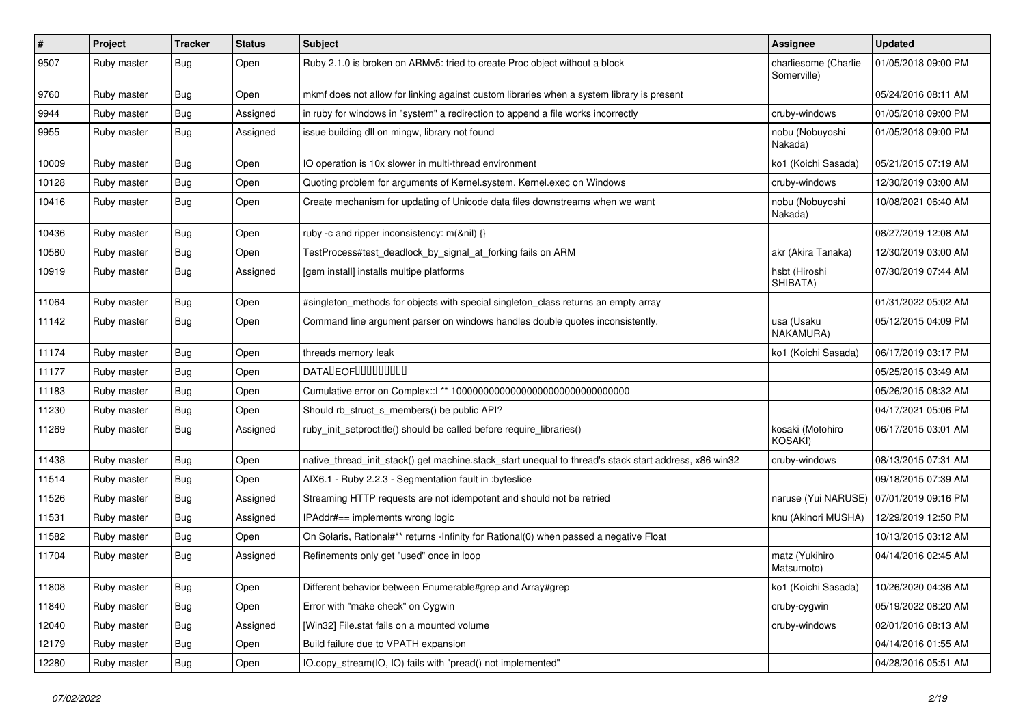| $\vert$ # | Project     | <b>Tracker</b> | <b>Status</b> | Subject                                                                                               | <b>Assignee</b>                     | <b>Updated</b>      |
|-----------|-------------|----------------|---------------|-------------------------------------------------------------------------------------------------------|-------------------------------------|---------------------|
| 9507      | Ruby master | Bug            | Open          | Ruby 2.1.0 is broken on ARMv5: tried to create Proc object without a block                            | charliesome (Charlie<br>Somerville) | 01/05/2018 09:00 PM |
| 9760      | Ruby master | Bug            | Open          | mkmf does not allow for linking against custom libraries when a system library is present             |                                     | 05/24/2016 08:11 AM |
| 9944      | Ruby master | <b>Bug</b>     | Assigned      | in ruby for windows in "system" a redirection to append a file works incorrectly                      | cruby-windows                       | 01/05/2018 09:00 PM |
| 9955      | Ruby master | Bug            | Assigned      | issue building dll on mingw, library not found                                                        | nobu (Nobuyoshi<br>Nakada)          | 01/05/2018 09:00 PM |
| 10009     | Ruby master | <b>Bug</b>     | Open          | IO operation is 10x slower in multi-thread environment                                                | ko1 (Koichi Sasada)                 | 05/21/2015 07:19 AM |
| 10128     | Ruby master | Bug            | Open          | Quoting problem for arguments of Kernel.system, Kernel.exec on Windows                                | cruby-windows                       | 12/30/2019 03:00 AM |
| 10416     | Ruby master | Bug            | Open          | Create mechanism for updating of Unicode data files downstreams when we want                          | nobu (Nobuyoshi<br>Nakada)          | 10/08/2021 06:40 AM |
| 10436     | Ruby master | Bug            | Open          | ruby -c and ripper inconsistency: m(&nil) {}                                                          |                                     | 08/27/2019 12:08 AM |
| 10580     | Ruby master | <b>Bug</b>     | Open          | TestProcess#test_deadlock_by_signal_at_forking fails on ARM                                           | akr (Akira Tanaka)                  | 12/30/2019 03:00 AM |
| 10919     | Ruby master | Bug            | Assigned      | [gem install] installs multipe platforms                                                              | hsbt (Hiroshi<br>SHIBATA)           | 07/30/2019 07:44 AM |
| 11064     | Ruby master | <b>Bug</b>     | Open          | #singleton_methods for objects with special singleton_class returns an empty array                    |                                     | 01/31/2022 05:02 AM |
| 11142     | Ruby master | <b>Bug</b>     | Open          | Command line argument parser on windows handles double quotes inconsistently.                         | usa (Usaku<br>NAKAMURA)             | 05/12/2015 04:09 PM |
| 11174     | Ruby master | Bug            | Open          | threads memory leak                                                                                   | ko1 (Koichi Sasada)                 | 06/17/2019 03:17 PM |
| 11177     | Ruby master | Bug            | Open          | <b>DATALEOFILILILILILI</b>                                                                            |                                     | 05/25/2015 03:49 AM |
| 11183     | Ruby master | <b>Bug</b>     | Open          | Cumulative error on Complex::   ** 100000000000000000000000000000000                                  |                                     | 05/26/2015 08:32 AM |
| 11230     | Ruby master | <b>Bug</b>     | Open          | Should rb_struct_s_members() be public API?                                                           |                                     | 04/17/2021 05:06 PM |
| 11269     | Ruby master | <b>Bug</b>     | Assigned      | ruby_init_setproctitle() should be called before require_libraries()                                  | kosaki (Motohiro<br>KOSAKI)         | 06/17/2015 03:01 AM |
| 11438     | Ruby master | Bug            | Open          | native_thread_init_stack() get machine.stack_start unequal to thread's stack start address, x86 win32 | cruby-windows                       | 08/13/2015 07:31 AM |
| 11514     | Ruby master | Bug            | Open          | AIX6.1 - Ruby 2.2.3 - Segmentation fault in : byteslice                                               |                                     | 09/18/2015 07:39 AM |
| 11526     | Ruby master | <b>Bug</b>     | Assigned      | Streaming HTTP requests are not idempotent and should not be retried                                  | naruse (Yui NARUSE)                 | 07/01/2019 09:16 PM |
| 11531     | Ruby master | Bug            | Assigned      | IPAddr#== implements wrong logic                                                                      | knu (Akinori MUSHA)                 | 12/29/2019 12:50 PM |
| 11582     | Ruby master | Bug            | Open          | On Solaris, Rational#** returns -Infinity for Rational(0) when passed a negative Float                |                                     | 10/13/2015 03:12 AM |
| 11704     | Ruby master | Bug            | Assigned      | Refinements only get "used" once in loop                                                              | matz (Yukihiro<br>Matsumoto)        | 04/14/2016 02:45 AM |
| 11808     | Ruby master | <b>Bug</b>     | Open          | Different behavior between Enumerable#grep and Array#grep                                             | ko1 (Koichi Sasada)                 | 10/26/2020 04:36 AM |
| 11840     | Ruby master | <b>Bug</b>     | Open          | Error with "make check" on Cygwin                                                                     | cruby-cygwin                        | 05/19/2022 08:20 AM |
| 12040     | Ruby master | Bug            | Assigned      | [Win32] File.stat fails on a mounted volume                                                           | cruby-windows                       | 02/01/2016 08:13 AM |
| 12179     | Ruby master | <b>Bug</b>     | Open          | Build failure due to VPATH expansion                                                                  |                                     | 04/14/2016 01:55 AM |
| 12280     | Ruby master | Bug            | Open          | IO.copy_stream(IO, IO) fails with "pread() not implemented"                                           |                                     | 04/28/2016 05:51 AM |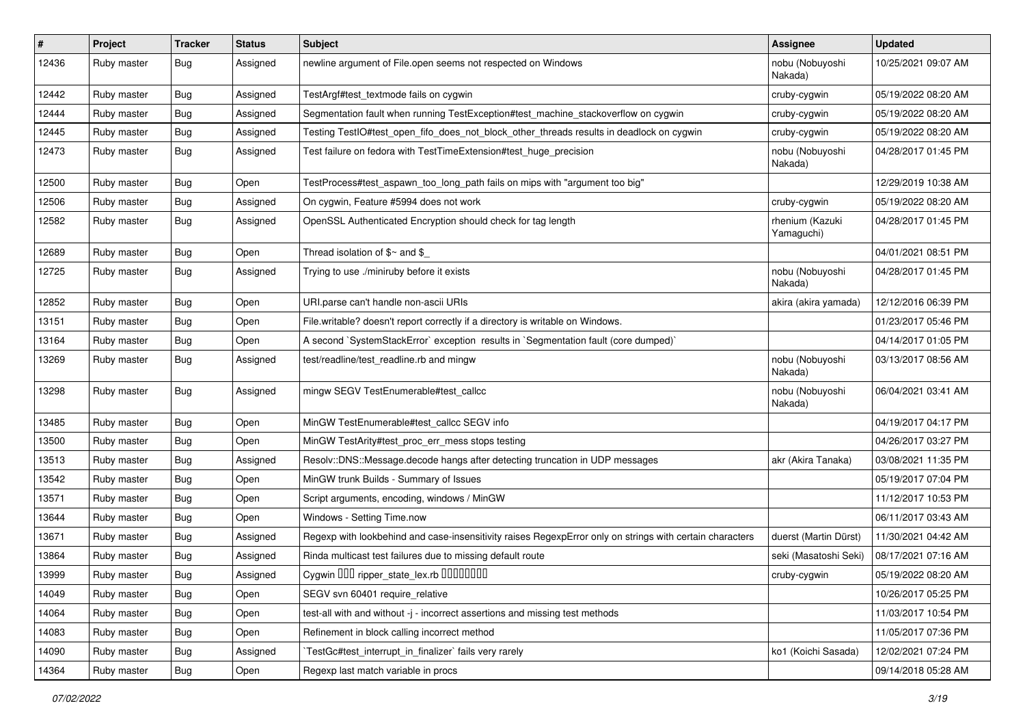| $\vert$ # | Project     | <b>Tracker</b> | <b>Status</b> | <b>Subject</b>                                                                                           | <b>Assignee</b>               | <b>Updated</b>      |
|-----------|-------------|----------------|---------------|----------------------------------------------------------------------------------------------------------|-------------------------------|---------------------|
| 12436     | Ruby master | Bug            | Assigned      | newline argument of File.open seems not respected on Windows                                             | nobu (Nobuyoshi<br>Nakada)    | 10/25/2021 09:07 AM |
| 12442     | Ruby master | <b>Bug</b>     | Assigned      | TestArgf#test textmode fails on cygwin                                                                   | cruby-cygwin                  | 05/19/2022 08:20 AM |
| 12444     | Ruby master | <b>Bug</b>     | Assigned      | Segmentation fault when running TestException#test_machine_stackoverflow on cygwin                       | cruby-cygwin                  | 05/19/2022 08:20 AM |
| 12445     | Ruby master | <b>Bug</b>     | Assigned      | Testing TestIO#test_open_fifo_does_not_block_other_threads results in deadlock on cygwin                 | cruby-cygwin                  | 05/19/2022 08:20 AM |
| 12473     | Ruby master | Bug            | Assigned      | Test failure on fedora with TestTimeExtension#test_huge_precision                                        | nobu (Nobuyoshi<br>Nakada)    | 04/28/2017 01:45 PM |
| 12500     | Ruby master | <b>Bug</b>     | Open          | TestProcess#test_aspawn_too_long_path fails on mips with "argument too big"                              |                               | 12/29/2019 10:38 AM |
| 12506     | Ruby master | <b>Bug</b>     | Assigned      | On cygwin, Feature #5994 does not work                                                                   | cruby-cygwin                  | 05/19/2022 08:20 AM |
| 12582     | Ruby master | <b>Bug</b>     | Assigned      | OpenSSL Authenticated Encryption should check for tag length                                             | rhenium (Kazuki<br>Yamaguchi) | 04/28/2017 01:45 PM |
| 12689     | Ruby master | <b>Bug</b>     | Open          | Thread isolation of $$~$ and $$$                                                                         |                               | 04/01/2021 08:51 PM |
| 12725     | Ruby master | Bug            | Assigned      | Trying to use ./miniruby before it exists                                                                | nobu (Nobuyoshi<br>Nakada)    | 04/28/2017 01:45 PM |
| 12852     | Ruby master | <b>Bug</b>     | Open          | URI.parse can't handle non-ascii URIs                                                                    | akira (akira yamada)          | 12/12/2016 06:39 PM |
| 13151     | Ruby master | <b>Bug</b>     | Open          | File.writable? doesn't report correctly if a directory is writable on Windows.                           |                               | 01/23/2017 05:46 PM |
| 13164     | Ruby master | <b>Bug</b>     | Open          | A second `SystemStackError` exception results in `Segmentation fault (core dumped)`                      |                               | 04/14/2017 01:05 PM |
| 13269     | Ruby master | Bug            | Assigned      | test/readline/test_readline.rb and mingw                                                                 | nobu (Nobuyoshi<br>Nakada)    | 03/13/2017 08:56 AM |
| 13298     | Ruby master | Bug            | Assigned      | mingw SEGV TestEnumerable#test_callcc                                                                    | nobu (Nobuyoshi<br>Nakada)    | 06/04/2021 03:41 AM |
| 13485     | Ruby master | <b>Bug</b>     | Open          | MinGW TestEnumerable#test_callcc SEGV info                                                               |                               | 04/19/2017 04:17 PM |
| 13500     | Ruby master | <b>Bug</b>     | Open          | MinGW TestArity#test_proc_err_mess stops testing                                                         |                               | 04/26/2017 03:27 PM |
| 13513     | Ruby master | <b>Bug</b>     | Assigned      | Resolv::DNS::Message.decode hangs after detecting truncation in UDP messages                             | akr (Akira Tanaka)            | 03/08/2021 11:35 PM |
| 13542     | Ruby master | <b>Bug</b>     | Open          | MinGW trunk Builds - Summary of Issues                                                                   |                               | 05/19/2017 07:04 PM |
| 13571     | Ruby master | <b>Bug</b>     | Open          | Script arguments, encoding, windows / MinGW                                                              |                               | 11/12/2017 10:53 PM |
| 13644     | Ruby master | <b>Bug</b>     | Open          | Windows - Setting Time.now                                                                               |                               | 06/11/2017 03:43 AM |
| 13671     | Ruby master | Bug            | Assigned      | Regexp with lookbehind and case-insensitivity raises RegexpError only on strings with certain characters | duerst (Martin Dürst)         | 11/30/2021 04:42 AM |
| 13864     | Ruby master | <b>Bug</b>     | Assigned      | Rinda multicast test failures due to missing default route                                               | seki (Masatoshi Seki)         | 08/17/2021 07:16 AM |
| 13999     | Ruby master | Bug            | Assigned      | Cygwin DDD ripper_state_lex.rb DDDDDDD                                                                   | cruby-cygwin                  | 05/19/2022 08:20 AM |
| 14049     | Ruby master | <b>Bug</b>     | Open          | SEGV svn 60401 require relative                                                                          |                               | 10/26/2017 05:25 PM |
| 14064     | Ruby master | <b>Bug</b>     | Open          | test-all with and without -j - incorrect assertions and missing test methods                             |                               | 11/03/2017 10:54 PM |
| 14083     | Ruby master | <b>Bug</b>     | Open          | Refinement in block calling incorrect method                                                             |                               | 11/05/2017 07:36 PM |
| 14090     | Ruby master | <b>Bug</b>     | Assigned      | TestGc#test_interrupt_in_finalizer`fails very rarely                                                     | ko1 (Koichi Sasada)           | 12/02/2021 07:24 PM |
| 14364     | Ruby master | Bug            | Open          | Regexp last match variable in procs                                                                      |                               | 09/14/2018 05:28 AM |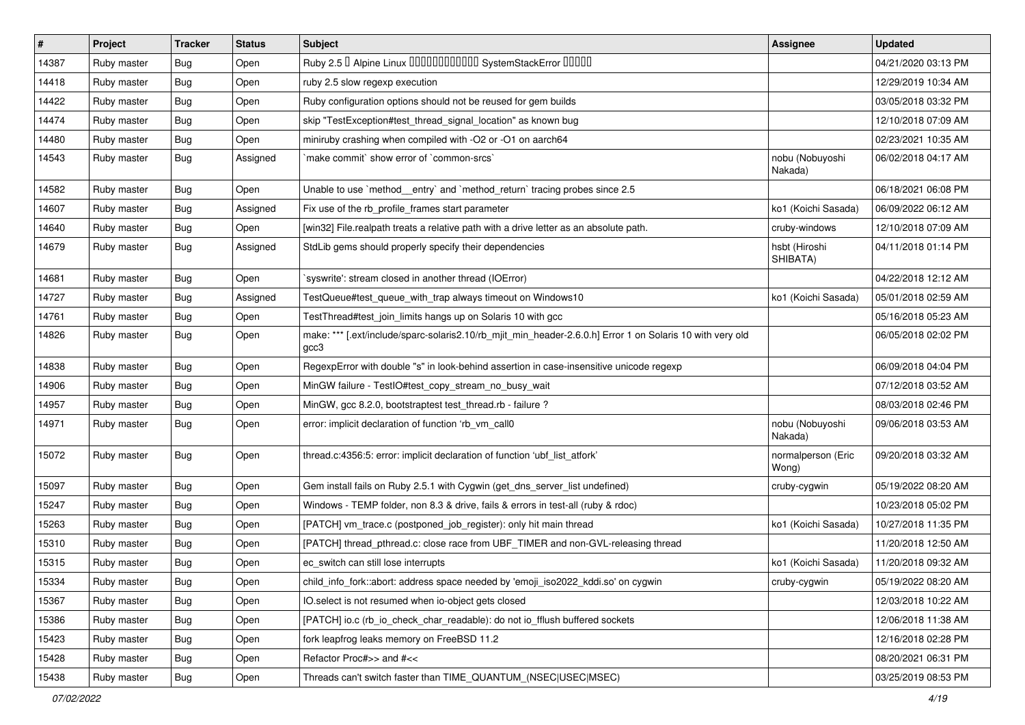| $\sharp$ | Project     | <b>Tracker</b> | <b>Status</b> | Subject                                                                                                           | <b>Assignee</b>             | <b>Updated</b>      |
|----------|-------------|----------------|---------------|-------------------------------------------------------------------------------------------------------------------|-----------------------------|---------------------|
| 14387    | Ruby master | Bug            | Open          | Ruby 2.5 <sup>0</sup> Alpine Linux 000000000000 SystemStackError 00000                                            |                             | 04/21/2020 03:13 PM |
| 14418    | Ruby master | Bug            | Open          | ruby 2.5 slow regexp execution                                                                                    |                             | 12/29/2019 10:34 AM |
| 14422    | Ruby master | <b>Bug</b>     | Open          | Ruby configuration options should not be reused for gem builds                                                    |                             | 03/05/2018 03:32 PM |
| 14474    | Ruby master | <b>Bug</b>     | Open          | skip "TestException#test_thread_signal_location" as known bug                                                     |                             | 12/10/2018 07:09 AM |
| 14480    | Ruby master | Bug            | Open          | miniruby crashing when compiled with -O2 or -O1 on aarch64                                                        |                             | 02/23/2021 10:35 AM |
| 14543    | Ruby master | Bug            | Assigned      | `make commit` show error of `common-srcs`                                                                         | nobu (Nobuyoshi<br>Nakada)  | 06/02/2018 04:17 AM |
| 14582    | Ruby master | Bug            | Open          | Unable to use `method_entry` and `method_return` tracing probes since 2.5                                         |                             | 06/18/2021 06:08 PM |
| 14607    | Ruby master | Bug            | Assigned      | Fix use of the rb_profile_frames start parameter                                                                  | ko1 (Koichi Sasada)         | 06/09/2022 06:12 AM |
| 14640    | Ruby master | Bug            | Open          | [win32] File.realpath treats a relative path with a drive letter as an absolute path.                             | cruby-windows               | 12/10/2018 07:09 AM |
| 14679    | Ruby master | Bug            | Assigned      | StdLib gems should properly specify their dependencies                                                            | hsbt (Hiroshi<br>SHIBATA)   | 04/11/2018 01:14 PM |
| 14681    | Ruby master | Bug            | Open          | 'syswrite': stream closed in another thread (IOError)                                                             |                             | 04/22/2018 12:12 AM |
| 14727    | Ruby master | Bug            | Assigned      | TestQueue#test_queue_with_trap always timeout on Windows10                                                        | ko1 (Koichi Sasada)         | 05/01/2018 02:59 AM |
| 14761    | Ruby master | <b>Bug</b>     | Open          | TestThread#test_join_limits hangs up on Solaris 10 with gcc                                                       |                             | 05/16/2018 05:23 AM |
| 14826    | Ruby master | Bug            | Open          | make: *** [.ext/include/sparc-solaris2.10/rb_mjit_min_header-2.6.0.h] Error 1 on Solaris 10 with very old<br>gcc3 |                             | 06/05/2018 02:02 PM |
| 14838    | Ruby master | Bug            | Open          | RegexpError with double "s" in look-behind assertion in case-insensitive unicode regexp                           |                             | 06/09/2018 04:04 PM |
| 14906    | Ruby master | Bug            | Open          | MinGW failure - TestlO#test_copy_stream_no_busy_wait                                                              |                             | 07/12/2018 03:52 AM |
| 14957    | Ruby master | <b>Bug</b>     | Open          | MinGW, gcc 8.2.0, bootstraptest test_thread.rb - failure ?                                                        |                             | 08/03/2018 02:46 PM |
| 14971    | Ruby master | Bug            | Open          | error: implicit declaration of function 'rb_vm_call0                                                              | nobu (Nobuyoshi<br>Nakada)  | 09/06/2018 03:53 AM |
| 15072    | Ruby master | Bug            | Open          | thread.c:4356:5: error: implicit declaration of function 'ubf_list_atfork'                                        | normalperson (Eric<br>Wong) | 09/20/2018 03:32 AM |
| 15097    | Ruby master | Bug            | Open          | Gem install fails on Ruby 2.5.1 with Cygwin (get_dns_server_list undefined)                                       | cruby-cygwin                | 05/19/2022 08:20 AM |
| 15247    | Ruby master | Bug            | Open          | Windows - TEMP folder, non 8.3 & drive, fails & errors in test-all (ruby & rdoc)                                  |                             | 10/23/2018 05:02 PM |
| 15263    | Ruby master | <b>Bug</b>     | Open          | [PATCH] vm_trace.c (postponed_job_register): only hit main thread                                                 | ko1 (Koichi Sasada)         | 10/27/2018 11:35 PM |
| 15310    | Ruby master | Bug            | Open          | [PATCH] thread_pthread.c: close race from UBF_TIMER and non-GVL-releasing thread                                  |                             | 11/20/2018 12:50 AM |
| 15315    | Ruby master | Bug            | Open          | ec_switch can still lose interrupts                                                                               | ko1 (Koichi Sasada)         | 11/20/2018 09:32 AM |
| 15334    | Ruby master | Bug            | Open          | child_info_fork::abort: address space needed by 'emoji_iso2022_kddi.so' on cygwin                                 | cruby-cygwin_               | 05/19/2022 08:20 AM |
| 15367    | Ruby master | <b>Bug</b>     | Open          | IO.select is not resumed when io-object gets closed                                                               |                             | 12/03/2018 10:22 AM |
| 15386    | Ruby master | <b>Bug</b>     | Open          | [PATCH] io.c (rb_io_check_char_readable): do not io_fflush buffered sockets                                       |                             | 12/06/2018 11:38 AM |
| 15423    | Ruby master | <b>Bug</b>     | Open          | fork leapfrog leaks memory on FreeBSD 11.2                                                                        |                             | 12/16/2018 02:28 PM |
| 15428    | Ruby master | Bug            | Open          | Refactor Proc#>> and #<<                                                                                          |                             | 08/20/2021 06:31 PM |
| 15438    | Ruby master | Bug            | Open          | Threads can't switch faster than TIME_QUANTUM_(NSEC USEC MSEC)                                                    |                             | 03/25/2019 08:53 PM |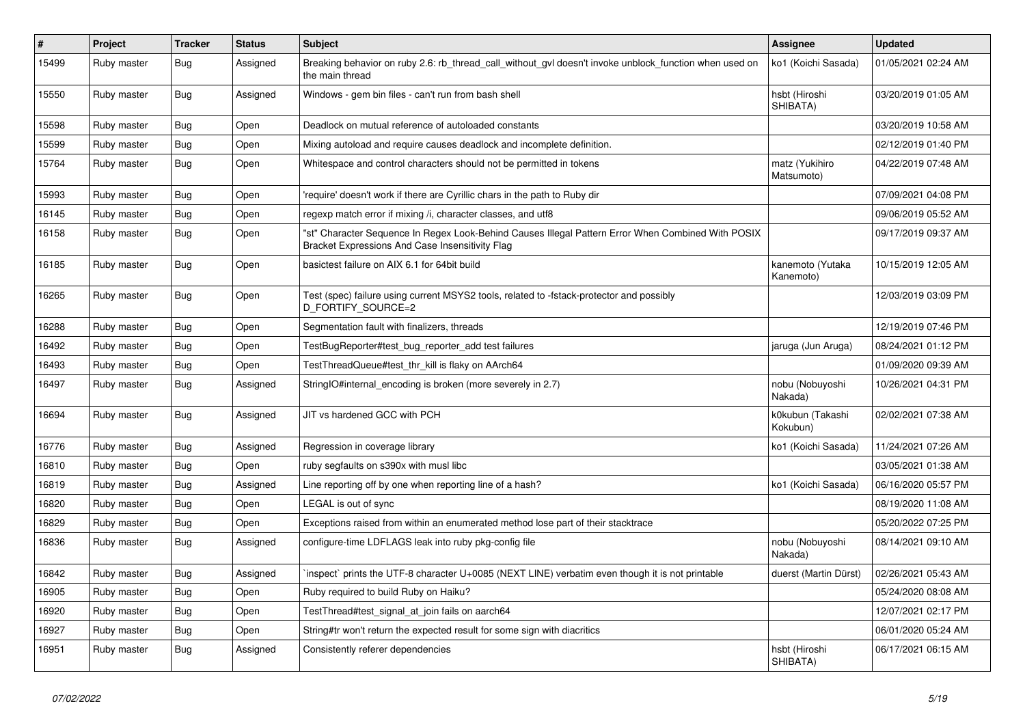| $\vert$ # | Project     | <b>Tracker</b> | <b>Status</b> | <b>Subject</b>                                                                                                                                        | <b>Assignee</b>               | <b>Updated</b>      |
|-----------|-------------|----------------|---------------|-------------------------------------------------------------------------------------------------------------------------------------------------------|-------------------------------|---------------------|
| 15499     | Ruby master | Bug            | Assigned      | Breaking behavior on ruby 2.6: rb thread call without gyl doesn't invoke unblock function when used on<br>the main thread                             | ko1 (Koichi Sasada)           | 01/05/2021 02:24 AM |
| 15550     | Ruby master | <b>Bug</b>     | Assigned      | Windows - gem bin files - can't run from bash shell                                                                                                   | hsbt (Hiroshi<br>SHIBATA)     | 03/20/2019 01:05 AM |
| 15598     | Ruby master | <b>Bug</b>     | Open          | Deadlock on mutual reference of autoloaded constants                                                                                                  |                               | 03/20/2019 10:58 AM |
| 15599     | Ruby master | <b>Bug</b>     | Open          | Mixing autoload and require causes deadlock and incomplete definition.                                                                                |                               | 02/12/2019 01:40 PM |
| 15764     | Ruby master | <b>Bug</b>     | Open          | Whitespace and control characters should not be permitted in tokens                                                                                   | matz (Yukihiro<br>Matsumoto)  | 04/22/2019 07:48 AM |
| 15993     | Ruby master | <b>Bug</b>     | Open          | require' doesn't work if there are Cyrillic chars in the path to Ruby dir                                                                             |                               | 07/09/2021 04:08 PM |
| 16145     | Ruby master | Bug            | Open          | regexp match error if mixing /i, character classes, and utf8                                                                                          |                               | 09/06/2019 05:52 AM |
| 16158     | Ruby master | Bug            | Open          | 'st" Character Sequence In Regex Look-Behind Causes Illegal Pattern Error When Combined With POSIX<br>Bracket Expressions And Case Insensitivity Flag |                               | 09/17/2019 09:37 AM |
| 16185     | Ruby master | <b>Bug</b>     | Open          | basictest failure on AIX 6.1 for 64bit build                                                                                                          | kanemoto (Yutaka<br>Kanemoto) | 10/15/2019 12:05 AM |
| 16265     | Ruby master | Bug            | Open          | Test (spec) failure using current MSYS2 tools, related to -fstack-protector and possibly<br>D_FORTIFY_SOURCE=2                                        |                               | 12/03/2019 03:09 PM |
| 16288     | Ruby master | <b>Bug</b>     | Open          | Segmentation fault with finalizers, threads                                                                                                           |                               | 12/19/2019 07:46 PM |
| 16492     | Ruby master | Bug            | Open          | TestBugReporter#test_bug_reporter_add test failures                                                                                                   | jaruga (Jun Aruga)            | 08/24/2021 01:12 PM |
| 16493     | Ruby master | Bug            | Open          | TestThreadQueue#test thr kill is flaky on AArch64                                                                                                     |                               | 01/09/2020 09:39 AM |
| 16497     | Ruby master | <b>Bug</b>     | Assigned      | StringIO#internal_encoding is broken (more severely in 2.7)                                                                                           | nobu (Nobuyoshi<br>Nakada)    | 10/26/2021 04:31 PM |
| 16694     | Ruby master | Bug            | Assigned      | JIT vs hardened GCC with PCH                                                                                                                          | k0kubun (Takashi<br>Kokubun)  | 02/02/2021 07:38 AM |
| 16776     | Ruby master | Bug            | Assigned      | Regression in coverage library                                                                                                                        | ko1 (Koichi Sasada)           | 11/24/2021 07:26 AM |
| 16810     | Ruby master | Bug            | Open          | ruby segfaults on s390x with musl libc                                                                                                                |                               | 03/05/2021 01:38 AM |
| 16819     | Ruby master | <b>Bug</b>     | Assigned      | Line reporting off by one when reporting line of a hash?                                                                                              | ko1 (Koichi Sasada)           | 06/16/2020 05:57 PM |
| 16820     | Ruby master | <b>Bug</b>     | Open          | LEGAL is out of sync                                                                                                                                  |                               | 08/19/2020 11:08 AM |
| 16829     | Ruby master | Bug            | Open          | Exceptions raised from within an enumerated method lose part of their stacktrace                                                                      |                               | 05/20/2022 07:25 PM |
| 16836     | Ruby master | <b>Bug</b>     | Assigned      | configure-time LDFLAGS leak into ruby pkg-config file                                                                                                 | nobu (Nobuyoshi<br>Nakada)    | 08/14/2021 09:10 AM |
| 16842     | Ruby master | Bug            | Assigned      | inspect` prints the UTF-8 character U+0085 (NEXT LINE) verbatim even though it is not printable                                                       | duerst (Martin Dürst)         | 02/26/2021 05:43 AM |
| 16905     | Ruby master | Bug            | Open          | Ruby required to build Ruby on Haiku?                                                                                                                 |                               | 05/24/2020 08:08 AM |
| 16920     | Ruby master | Bug            | Open          | TestThread#test_signal_at_join fails on aarch64                                                                                                       |                               | 12/07/2021 02:17 PM |
| 16927     | Ruby master | <b>Bug</b>     | Open          | String#tr won't return the expected result for some sign with diacritics                                                                              |                               | 06/01/2020 05:24 AM |
| 16951     | Ruby master | Bug            | Assigned      | Consistently referer dependencies                                                                                                                     | hsbt (Hiroshi<br>SHIBATA)     | 06/17/2021 06:15 AM |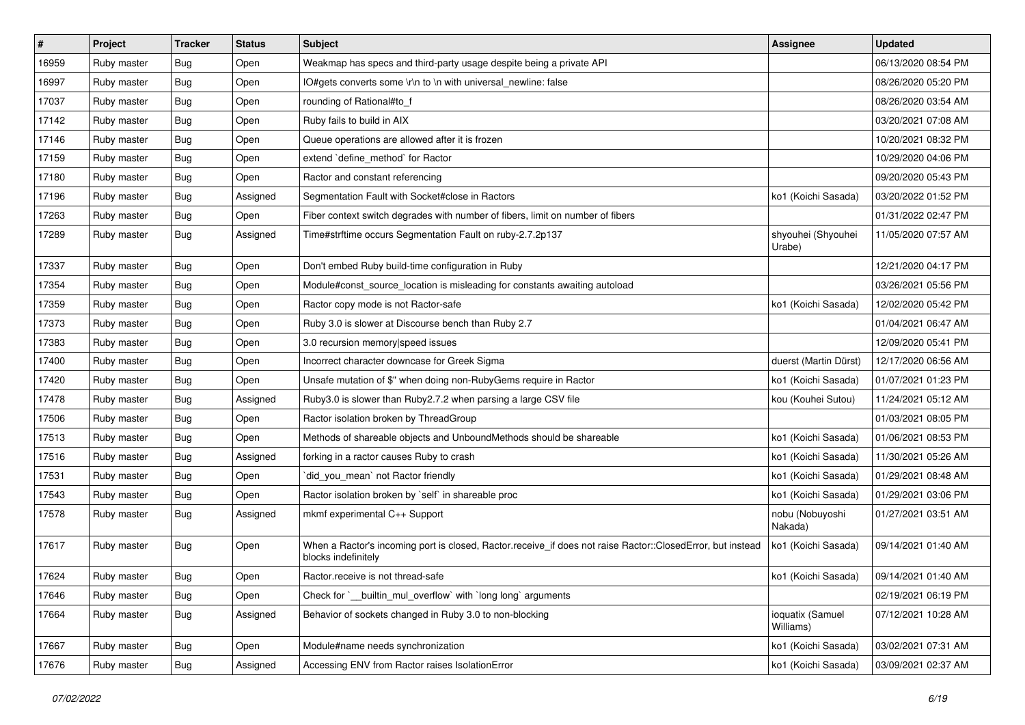| #     | Project     | <b>Tracker</b> | <b>Status</b> | Subject                                                                                                                           | <b>Assignee</b>               | <b>Updated</b>      |
|-------|-------------|----------------|---------------|-----------------------------------------------------------------------------------------------------------------------------------|-------------------------------|---------------------|
| 16959 | Ruby master | Bug            | Open          | Weakmap has specs and third-party usage despite being a private API                                                               |                               | 06/13/2020 08:54 PM |
| 16997 | Ruby master | <b>Bug</b>     | Open          | IO#gets converts some \r\n to \n with universal_newline: false                                                                    |                               | 08/26/2020 05:20 PM |
| 17037 | Ruby master | <b>Bug</b>     | Open          | rounding of Rational#to_f                                                                                                         |                               | 08/26/2020 03:54 AM |
| 17142 | Ruby master | <b>Bug</b>     | Open          | Ruby fails to build in AIX                                                                                                        |                               | 03/20/2021 07:08 AM |
| 17146 | Ruby master | <b>Bug</b>     | Open          | Queue operations are allowed after it is frozen                                                                                   |                               | 10/20/2021 08:32 PM |
| 17159 | Ruby master | <b>Bug</b>     | Open          | extend `define_method` for Ractor                                                                                                 |                               | 10/29/2020 04:06 PM |
| 17180 | Ruby master | <b>Bug</b>     | Open          | Ractor and constant referencing                                                                                                   |                               | 09/20/2020 05:43 PM |
| 17196 | Ruby master | Bug            | Assigned      | Segmentation Fault with Socket#close in Ractors                                                                                   | ko1 (Koichi Sasada)           | 03/20/2022 01:52 PM |
| 17263 | Ruby master | Bug            | Open          | Fiber context switch degrades with number of fibers, limit on number of fibers                                                    |                               | 01/31/2022 02:47 PM |
| 17289 | Ruby master | <b>Bug</b>     | Assigned      | Time#strftime occurs Segmentation Fault on ruby-2.7.2p137                                                                         | shyouhei (Shyouhei<br>Urabe)  | 11/05/2020 07:57 AM |
| 17337 | Ruby master | <b>Bug</b>     | Open          | Don't embed Ruby build-time configuration in Ruby                                                                                 |                               | 12/21/2020 04:17 PM |
| 17354 | Ruby master | <b>Bug</b>     | Open          | Module#const_source_location is misleading for constants awaiting autoload                                                        |                               | 03/26/2021 05:56 PM |
| 17359 | Ruby master | <b>Bug</b>     | Open          | Ractor copy mode is not Ractor-safe                                                                                               | ko1 (Koichi Sasada)           | 12/02/2020 05:42 PM |
| 17373 | Ruby master | Bug            | Open          | Ruby 3.0 is slower at Discourse bench than Ruby 2.7                                                                               |                               | 01/04/2021 06:47 AM |
| 17383 | Ruby master | <b>Bug</b>     | Open          | 3.0 recursion memory speed issues                                                                                                 |                               | 12/09/2020 05:41 PM |
| 17400 | Ruby master | Bug            | Open          | Incorrect character downcase for Greek Sigma                                                                                      | duerst (Martin Dürst)         | 12/17/2020 06:56 AM |
| 17420 | Ruby master | <b>Bug</b>     | Open          | Unsafe mutation of \$" when doing non-RubyGems require in Ractor                                                                  | ko1 (Koichi Sasada)           | 01/07/2021 01:23 PM |
| 17478 | Ruby master | <b>Bug</b>     | Assigned      | Ruby3.0 is slower than Ruby2.7.2 when parsing a large CSV file                                                                    | kou (Kouhei Sutou)            | 11/24/2021 05:12 AM |
| 17506 | Ruby master | <b>Bug</b>     | Open          | Ractor isolation broken by ThreadGroup                                                                                            |                               | 01/03/2021 08:05 PM |
| 17513 | Ruby master | <b>Bug</b>     | Open          | Methods of shareable objects and UnboundMethods should be shareable                                                               | ko1 (Koichi Sasada)           | 01/06/2021 08:53 PM |
| 17516 | Ruby master | <b>Bug</b>     | Assigned      | forking in a ractor causes Ruby to crash                                                                                          | ko1 (Koichi Sasada)           | 11/30/2021 05:26 AM |
| 17531 | Ruby master | <b>Bug</b>     | Open          | did_you_mean' not Ractor friendly                                                                                                 | ko1 (Koichi Sasada)           | 01/29/2021 08:48 AM |
| 17543 | Ruby master | <b>Bug</b>     | Open          | Ractor isolation broken by `self` in shareable proc                                                                               | ko1 (Koichi Sasada)           | 01/29/2021 03:06 PM |
| 17578 | Ruby master | <b>Bug</b>     | Assigned      | mkmf experimental C++ Support                                                                                                     | nobu (Nobuyoshi<br>Nakada)    | 01/27/2021 03:51 AM |
| 17617 | Ruby master | <b>Bug</b>     | Open          | When a Ractor's incoming port is closed, Ractor.receive_if does not raise Ractor::ClosedError, but instead<br>blocks indefinitely | ko1 (Koichi Sasada)           | 09/14/2021 01:40 AM |
| 17624 | Ruby master | Bug            | Open          | Ractor.receive is not thread-safe                                                                                                 | ko1 (Koichi Sasada)           | 09/14/2021 01:40 AM |
| 17646 | Ruby master | <b>Bug</b>     | Open          | Check for `__builtin_mul_overflow` with `long long` arguments                                                                     |                               | 02/19/2021 06:19 PM |
| 17664 | Ruby master | <b>Bug</b>     | Assigned      | Behavior of sockets changed in Ruby 3.0 to non-blocking                                                                           | ioquatix (Samuel<br>Williams) | 07/12/2021 10:28 AM |
| 17667 | Ruby master | <b>Bug</b>     | Open          | Module#name needs synchronization                                                                                                 | ko1 (Koichi Sasada)           | 03/02/2021 07:31 AM |
| 17676 | Ruby master | <b>Bug</b>     | Assigned      | Accessing ENV from Ractor raises IsolationError                                                                                   | ko1 (Koichi Sasada)           | 03/09/2021 02:37 AM |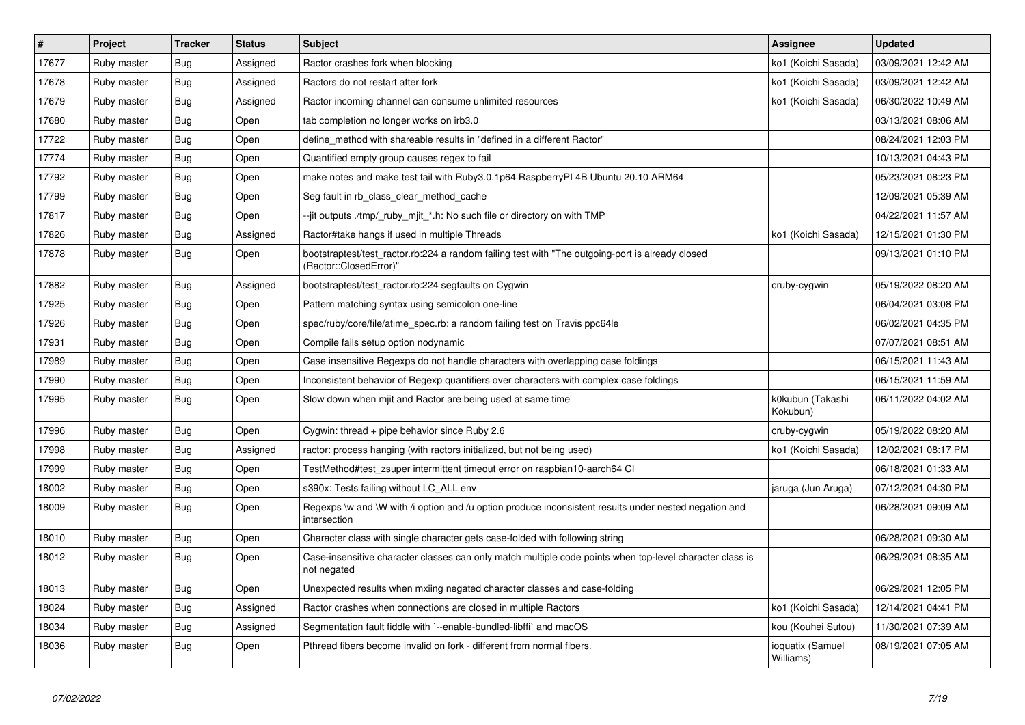| $\sharp$ | Project     | <b>Tracker</b> | <b>Status</b> | <b>Subject</b>                                                                                                             | <b>Assignee</b>               | <b>Updated</b>      |
|----------|-------------|----------------|---------------|----------------------------------------------------------------------------------------------------------------------------|-------------------------------|---------------------|
| 17677    | Ruby master | <b>Bug</b>     | Assigned      | Ractor crashes fork when blocking                                                                                          | ko1 (Koichi Sasada)           | 03/09/2021 12:42 AM |
| 17678    | Ruby master | Bug            | Assigned      | Ractors do not restart after fork                                                                                          | ko1 (Koichi Sasada)           | 03/09/2021 12:42 AM |
| 17679    | Ruby master | <b>Bug</b>     | Assigned      | Ractor incoming channel can consume unlimited resources                                                                    | ko1 (Koichi Sasada)           | 06/30/2022 10:49 AM |
| 17680    | Ruby master | <b>Bug</b>     | Open          | tab completion no longer works on irb3.0                                                                                   |                               | 03/13/2021 08:06 AM |
| 17722    | Ruby master | Bug            | Open          | define method with shareable results in "defined in a different Ractor"                                                    |                               | 08/24/2021 12:03 PM |
| 17774    | Ruby master | <b>Bug</b>     | Open          | Quantified empty group causes regex to fail                                                                                |                               | 10/13/2021 04:43 PM |
| 17792    | Ruby master | <b>Bug</b>     | Open          | make notes and make test fail with Ruby3.0.1p64 RaspberryPI 4B Ubuntu 20.10 ARM64                                          |                               | 05/23/2021 08:23 PM |
| 17799    | Ruby master | <b>Bug</b>     | Open          | Seg fault in rb_class_clear_method_cache                                                                                   |                               | 12/09/2021 05:39 AM |
| 17817    | Ruby master | <b>Bug</b>     | Open          | --jit outputs ./tmp/_ruby_mjit_*.h: No such file or directory on with TMP                                                  |                               | 04/22/2021 11:57 AM |
| 17826    | Ruby master | Bug            | Assigned      | Ractor#take hangs if used in multiple Threads                                                                              | ko1 (Koichi Sasada)           | 12/15/2021 01:30 PM |
| 17878    | Ruby master | <b>Bug</b>     | Open          | bootstraptest/test_ractor.rb:224 a random failing test with "The outgoing-port is already closed<br>(Ractor::ClosedError)" |                               | 09/13/2021 01:10 PM |
| 17882    | Ruby master | <b>Bug</b>     | Assigned      | bootstraptest/test ractor.rb:224 segfaults on Cygwin                                                                       | cruby-cygwin                  | 05/19/2022 08:20 AM |
| 17925    | Ruby master | <b>Bug</b>     | Open          | Pattern matching syntax using semicolon one-line                                                                           |                               | 06/04/2021 03:08 PM |
| 17926    | Ruby master | Bug            | Open          | spec/ruby/core/file/atime_spec.rb: a random failing test on Travis ppc64le                                                 |                               | 06/02/2021 04:35 PM |
| 17931    | Ruby master | Bug            | Open          | Compile fails setup option nodynamic                                                                                       |                               | 07/07/2021 08:51 AM |
| 17989    | Ruby master | <b>Bug</b>     | Open          | Case insensitive Regexps do not handle characters with overlapping case foldings                                           |                               | 06/15/2021 11:43 AM |
| 17990    | Ruby master | <b>Bug</b>     | Open          | Inconsistent behavior of Regexp quantifiers over characters with complex case foldings                                     |                               | 06/15/2021 11:59 AM |
| 17995    | Ruby master | <b>Bug</b>     | Open          | Slow down when mjit and Ractor are being used at same time                                                                 | k0kubun (Takashi<br>Kokubun)  | 06/11/2022 04:02 AM |
| 17996    | Ruby master | <b>Bug</b>     | Open          | Cygwin: thread $+$ pipe behavior since Ruby 2.6                                                                            | cruby-cygwin                  | 05/19/2022 08:20 AM |
| 17998    | Ruby master | <b>Bug</b>     | Assigned      | ractor: process hanging (with ractors initialized, but not being used)                                                     | ko1 (Koichi Sasada)           | 12/02/2021 08:17 PM |
| 17999    | Ruby master | <b>Bug</b>     | Open          | TestMethod#test_zsuper intermittent timeout error on raspbian10-aarch64 CI                                                 |                               | 06/18/2021 01:33 AM |
| 18002    | Ruby master | Bug            | Open          | s390x: Tests failing without LC ALL env                                                                                    | jaruga (Jun Aruga)            | 07/12/2021 04:30 PM |
| 18009    | Ruby master | Bug            | Open          | Regexps \w and \W with /i option and /u option produce inconsistent results under nested negation and<br>intersection      |                               | 06/28/2021 09:09 AM |
| 18010    | Ruby master | Bug            | Open          | Character class with single character gets case-folded with following string                                               |                               | 06/28/2021 09:30 AM |
| 18012    | Ruby master | Bug            | Open          | Case-insensitive character classes can only match multiple code points when top-level character class is<br>not negated    |                               | 06/29/2021 08:35 AM |
| 18013    | Ruby master | <b>Bug</b>     | Open          | Unexpected results when mxiing negated character classes and case-folding                                                  |                               | 06/29/2021 12:05 PM |
| 18024    | Ruby master | <b>Bug</b>     | Assigned      | Ractor crashes when connections are closed in multiple Ractors                                                             | ko1 (Koichi Sasada)           | 12/14/2021 04:41 PM |
| 18034    | Ruby master | <b>Bug</b>     | Assigned      | Segmentation fault fiddle with `--enable-bundled-libffi` and macOS                                                         | kou (Kouhei Sutou)            | 11/30/2021 07:39 AM |
| 18036    | Ruby master | Bug            | Open          | Pthread fibers become invalid on fork - different from normal fibers.                                                      | ioquatix (Samuel<br>Williams) | 08/19/2021 07:05 AM |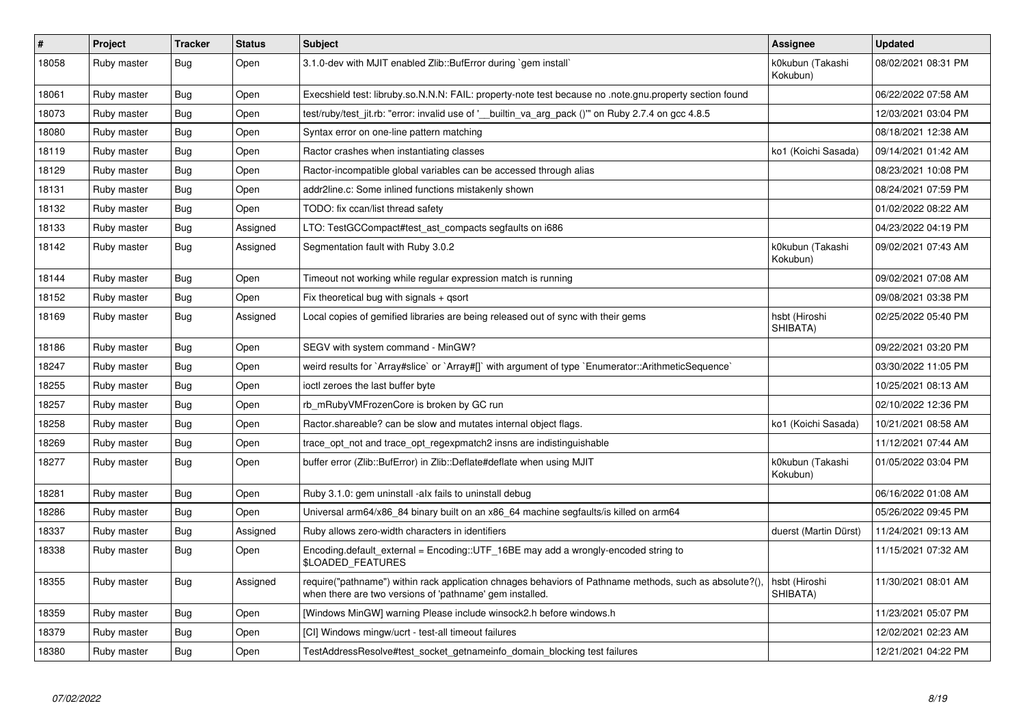| #     | Project     | <b>Tracker</b> | <b>Status</b> | <b>Subject</b>                                                                                                                                                      | <b>Assignee</b>              | <b>Updated</b>      |
|-------|-------------|----------------|---------------|---------------------------------------------------------------------------------------------------------------------------------------------------------------------|------------------------------|---------------------|
| 18058 | Ruby master | Bug            | Open          | 3.1.0-dev with MJIT enabled Zlib::BufError during `gem install`                                                                                                     | k0kubun (Takashi<br>Kokubun) | 08/02/2021 08:31 PM |
| 18061 | Ruby master | Bug            | Open          | Execshield test: libruby.so.N.N.N: FAIL: property-note test because no .note.gnu.property section found                                                             |                              | 06/22/2022 07:58 AM |
| 18073 | Ruby master | Bug            | Open          | test/ruby/test_jit.rb: "error: invalid use of '__builtin_va_arg_pack ()"" on Ruby 2.7.4 on gcc 4.8.5                                                                |                              | 12/03/2021 03:04 PM |
| 18080 | Ruby master | Bug            | Open          | Syntax error on one-line pattern matching                                                                                                                           |                              | 08/18/2021 12:38 AM |
| 18119 | Ruby master | <b>Bug</b>     | Open          | Ractor crashes when instantiating classes                                                                                                                           | ko1 (Koichi Sasada)          | 09/14/2021 01:42 AM |
| 18129 | Ruby master | <b>Bug</b>     | Open          | Ractor-incompatible global variables can be accessed through alias                                                                                                  |                              | 08/23/2021 10:08 PM |
| 18131 | Ruby master | <b>Bug</b>     | Open          | addr2line.c: Some inlined functions mistakenly shown                                                                                                                |                              | 08/24/2021 07:59 PM |
| 18132 | Ruby master | <b>Bug</b>     | Open          | TODO: fix ccan/list thread safety                                                                                                                                   |                              | 01/02/2022 08:22 AM |
| 18133 | Ruby master | Bug            | Assigned      | LTO: TestGCCompact#test ast compacts segfaults on i686                                                                                                              |                              | 04/23/2022 04:19 PM |
| 18142 | Ruby master | Bug            | Assigned      | Segmentation fault with Ruby 3.0.2                                                                                                                                  | k0kubun (Takashi<br>Kokubun) | 09/02/2021 07:43 AM |
| 18144 | Ruby master | <b>Bug</b>     | Open          | Timeout not working while regular expression match is running                                                                                                       |                              | 09/02/2021 07:08 AM |
| 18152 | Ruby master | Bug            | Open          | Fix theoretical bug with signals $+$ qsort                                                                                                                          |                              | 09/08/2021 03:38 PM |
| 18169 | Ruby master | Bug            | Assigned      | Local copies of gemified libraries are being released out of sync with their gems                                                                                   | hsbt (Hiroshi<br>SHIBATA)    | 02/25/2022 05:40 PM |
| 18186 | Ruby master | <b>Bug</b>     | Open          | SEGV with system command - MinGW?                                                                                                                                   |                              | 09/22/2021 03:20 PM |
| 18247 | Ruby master | <b>Bug</b>     | Open          | weird results for `Array#slice` or `Array#[]` with argument of type `Enumerator::ArithmeticSequence`                                                                |                              | 03/30/2022 11:05 PM |
| 18255 | Ruby master | Bug            | Open          | ioctl zeroes the last buffer byte                                                                                                                                   |                              | 10/25/2021 08:13 AM |
| 18257 | Ruby master | <b>Bug</b>     | Open          | rb mRubyVMFrozenCore is broken by GC run                                                                                                                            |                              | 02/10/2022 12:36 PM |
| 18258 | Ruby master | <b>Bug</b>     | Open          | Ractor shareable? can be slow and mutates internal object flags.                                                                                                    | ko1 (Koichi Sasada)          | 10/21/2021 08:58 AM |
| 18269 | Ruby master | <b>Bug</b>     | Open          | trace_opt_not and trace_opt_regexpmatch2 insns are indistinguishable                                                                                                |                              | 11/12/2021 07:44 AM |
| 18277 | Ruby master | <b>Bug</b>     | Open          | buffer error (Zlib::BufError) in Zlib::Deflate#deflate when using MJIT                                                                                              | k0kubun (Takashi<br>Kokubun) | 01/05/2022 03:04 PM |
| 18281 | Ruby master | Bug            | Open          | Ruby 3.1.0: gem uninstall -alx fails to uninstall debug                                                                                                             |                              | 06/16/2022 01:08 AM |
| 18286 | Ruby master | <b>Bug</b>     | Open          | Universal arm64/x86_84 binary built on an x86_64 machine segfaults/is killed on arm64                                                                               |                              | 05/26/2022 09:45 PM |
| 18337 | Ruby master | Bug            | Assigned      | Ruby allows zero-width characters in identifiers                                                                                                                    | duerst (Martin Dürst)        | 11/24/2021 09:13 AM |
| 18338 | Ruby master | Bug            | Open          | Encoding.default_external = Encoding::UTF_16BE may add a wrongly-encoded string to<br>\$LOADED FEATURES                                                             |                              | 11/15/2021 07:32 AM |
| 18355 | Ruby master | Bug            | Assigned      | require("pathname") within rack application chnages behaviors of Pathname methods, such as absolute?(),<br>when there are two versions of 'pathname' gem installed. | hsbt (Hiroshi<br>SHIBATA)    | 11/30/2021 08:01 AM |
| 18359 | Ruby master | Bug            | Open          | [Windows MinGW] warning Please include winsock2.h before windows.h                                                                                                  |                              | 11/23/2021 05:07 PM |
| 18379 | Ruby master | <b>Bug</b>     | Open          | [CI] Windows mingw/ucrt - test-all timeout failures                                                                                                                 |                              | 12/02/2021 02:23 AM |
| 18380 | Ruby master | <b>Bug</b>     | Open          | TestAddressResolve#test_socket_getnameinfo_domain_blocking test failures                                                                                            |                              | 12/21/2021 04:22 PM |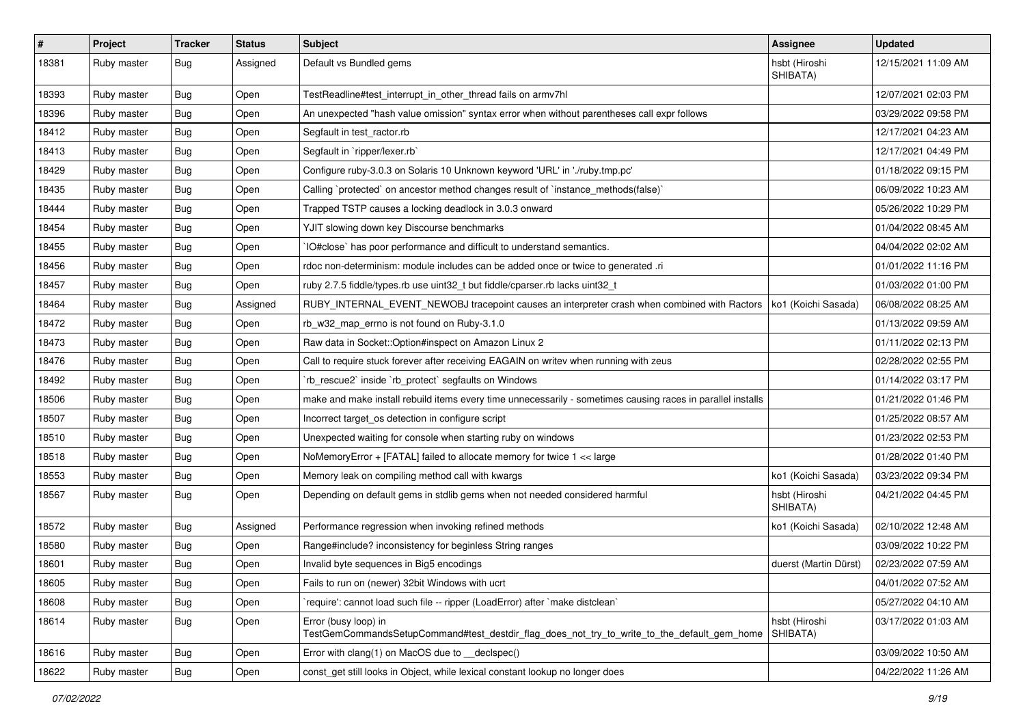| $\sharp$ | Project     | <b>Tracker</b> | <b>Status</b> | Subject                                                                                                             | <b>Assignee</b>           | <b>Updated</b>      |
|----------|-------------|----------------|---------------|---------------------------------------------------------------------------------------------------------------------|---------------------------|---------------------|
| 18381    | Ruby master | <b>Bug</b>     | Assigned      | Default vs Bundled gems                                                                                             | hsbt (Hiroshi<br>SHIBATA) | 12/15/2021 11:09 AM |
| 18393    | Ruby master | Bug            | Open          | TestReadline#test_interrupt_in_other_thread fails on armv7hl                                                        |                           | 12/07/2021 02:03 PM |
| 18396    | Ruby master | <b>Bug</b>     | Open          | An unexpected "hash value omission" syntax error when without parentheses call expr follows                         |                           | 03/29/2022 09:58 PM |
| 18412    | Ruby master | Bug            | Open          | Segfault in test_ractor.rb                                                                                          |                           | 12/17/2021 04:23 AM |
| 18413    | Ruby master | <b>Bug</b>     | Open          | Segfault in `ripper/lexer.rb`                                                                                       |                           | 12/17/2021 04:49 PM |
| 18429    | Ruby master | <b>Bug</b>     | Open          | Configure ruby-3.0.3 on Solaris 10 Unknown keyword 'URL' in './ruby.tmp.pc'                                         |                           | 01/18/2022 09:15 PM |
| 18435    | Ruby master | Bug            | Open          | Calling `protected` on ancestor method changes result of `instance_methods(false)`                                  |                           | 06/09/2022 10:23 AM |
| 18444    | Ruby master | <b>Bug</b>     | Open          | Trapped TSTP causes a locking deadlock in 3.0.3 onward                                                              |                           | 05/26/2022 10:29 PM |
| 18454    | Ruby master | Bug            | Open          | YJIT slowing down key Discourse benchmarks                                                                          |                           | 01/04/2022 08:45 AM |
| 18455    | Ruby master | <b>Bug</b>     | Open          | IO#close` has poor performance and difficult to understand semantics.                                               |                           | 04/04/2022 02:02 AM |
| 18456    | Ruby master | <b>Bug</b>     | Open          | rdoc non-determinism: module includes can be added once or twice to generated .ri                                   |                           | 01/01/2022 11:16 PM |
| 18457    | Ruby master | <b>Bug</b>     | Open          | ruby 2.7.5 fiddle/types.rb use uint32_t but fiddle/cparser.rb lacks uint32_t                                        |                           | 01/03/2022 01:00 PM |
| 18464    | Ruby master | <b>Bug</b>     | Assigned      | RUBY_INTERNAL_EVENT_NEWOBJ tracepoint causes an interpreter crash when combined with Ractors                        | ko1 (Koichi Sasada)       | 06/08/2022 08:25 AM |
| 18472    | Ruby master | <b>Bug</b>     | Open          | rb_w32_map_errno is not found on Ruby-3.1.0                                                                         |                           | 01/13/2022 09:59 AM |
| 18473    | Ruby master | <b>Bug</b>     | Open          | Raw data in Socket::Option#inspect on Amazon Linux 2                                                                |                           | 01/11/2022 02:13 PM |
| 18476    | Ruby master | <b>Bug</b>     | Open          | Call to require stuck forever after receiving EAGAIN on writev when running with zeus                               |                           | 02/28/2022 02:55 PM |
| 18492    | Ruby master | <b>Bug</b>     | Open          | 'rb_rescue2' inside 'rb_protect' segfaults on Windows                                                               |                           | 01/14/2022 03:17 PM |
| 18506    | Ruby master | <b>Bug</b>     | Open          | make and make install rebuild items every time unnecessarily - sometimes causing races in parallel installs         |                           | 01/21/2022 01:46 PM |
| 18507    | Ruby master | <b>Bug</b>     | Open          | Incorrect target_os detection in configure script                                                                   |                           | 01/25/2022 08:57 AM |
| 18510    | Ruby master | <b>Bug</b>     | Open          | Unexpected waiting for console when starting ruby on windows                                                        |                           | 01/23/2022 02:53 PM |
| 18518    | Ruby master | <b>Bug</b>     | Open          | NoMemoryError + [FATAL] failed to allocate memory for twice 1 << large                                              |                           | 01/28/2022 01:40 PM |
| 18553    | Ruby master | Bug            | Open          | Memory leak on compiling method call with kwargs                                                                    | ko1 (Koichi Sasada)       | 03/23/2022 09:34 PM |
| 18567    | Ruby master | <b>Bug</b>     | Open          | Depending on default gems in stdlib gems when not needed considered harmful                                         | hsbt (Hiroshi<br>SHIBATA) | 04/21/2022 04:45 PM |
| 18572    | Ruby master | <b>Bug</b>     | Assigned      | Performance regression when invoking refined methods                                                                | ko1 (Koichi Sasada)       | 02/10/2022 12:48 AM |
| 18580    | Ruby master | <b>Bug</b>     | Open          | Range#include? inconsistency for beginless String ranges                                                            |                           | 03/09/2022 10:22 PM |
| 18601    | Ruby master | <b>Bug</b>     | Open          | Invalid byte sequences in Big5 encodings                                                                            | duerst (Martin Dürst)     | 02/23/2022 07:59 AM |
| 18605    | Ruby master | Bug            | Open          | Fails to run on (newer) 32bit Windows with ucrt                                                                     |                           | 04/01/2022 07:52 AM |
| 18608    | Ruby master | <b>Bug</b>     | Open          | 'require': cannot load such file -- ripper (LoadError) after 'make distclean'                                       |                           | 05/27/2022 04:10 AM |
| 18614    | Ruby master | <b>Bug</b>     | Open          | Error (busy loop) in<br>TestGemCommandsSetupCommand#test_destdir_flag_does_not_try_to_write_to_the_default_gem_home | hsbt (Hiroshi<br>SHIBATA) | 03/17/2022 01:03 AM |
| 18616    | Ruby master | <b>Bug</b>     | Open          | Error with clang(1) on MacOS due to declspec()                                                                      |                           | 03/09/2022 10:50 AM |
| 18622    | Ruby master | <b>Bug</b>     | Open          | const get still looks in Object, while lexical constant lookup no longer does                                       |                           | 04/22/2022 11:26 AM |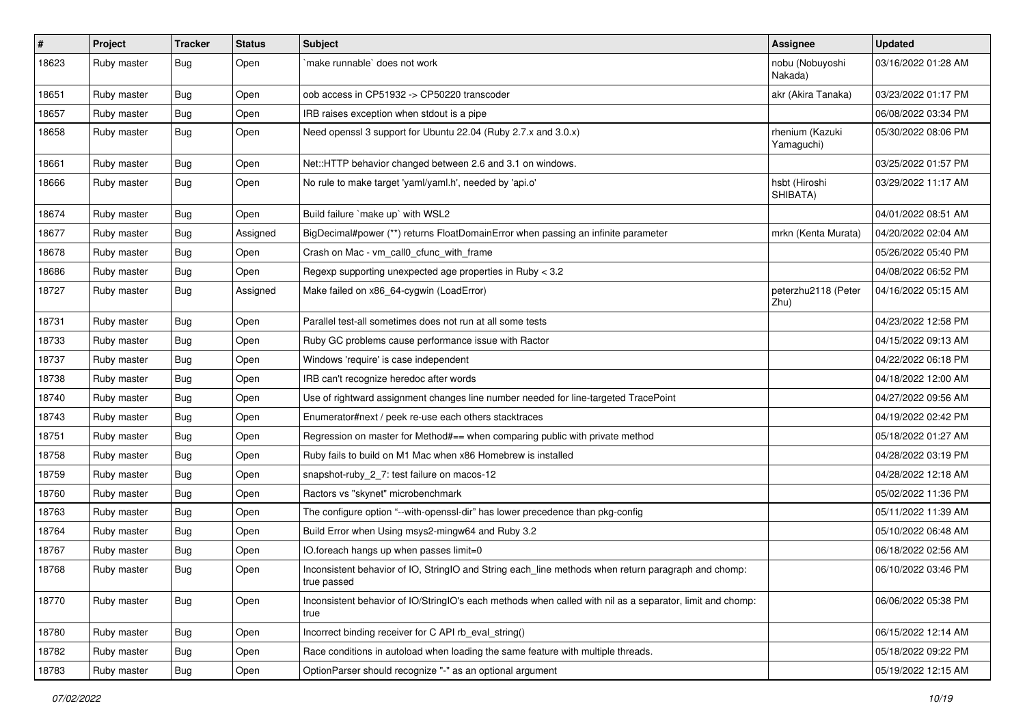| $\vert$ # | Project     | <b>Tracker</b> | <b>Status</b> | <b>Subject</b>                                                                                                     | Assignee                      | <b>Updated</b>      |
|-----------|-------------|----------------|---------------|--------------------------------------------------------------------------------------------------------------------|-------------------------------|---------------------|
| 18623     | Ruby master | Bug            | Open          | make runnable' does not work                                                                                       | nobu (Nobuyoshi<br>Nakada)    | 03/16/2022 01:28 AM |
| 18651     | Ruby master | <b>Bug</b>     | Open          | oob access in CP51932 -> CP50220 transcoder                                                                        | akr (Akira Tanaka)            | 03/23/2022 01:17 PM |
| 18657     | Ruby master | <b>Bug</b>     | Open          | IRB raises exception when stdout is a pipe                                                                         |                               | 06/08/2022 03:34 PM |
| 18658     | Ruby master | <b>Bug</b>     | Open          | Need openssl 3 support for Ubuntu 22.04 (Ruby 2.7.x and 3.0.x)                                                     | rhenium (Kazuki<br>Yamaguchi) | 05/30/2022 08:06 PM |
| 18661     | Ruby master | Bug            | Open          | Net::HTTP behavior changed between 2.6 and 3.1 on windows.                                                         |                               | 03/25/2022 01:57 PM |
| 18666     | Ruby master | <b>Bug</b>     | Open          | No rule to make target 'yaml/yaml.h', needed by 'api.o'                                                            | hsbt (Hiroshi<br>SHIBATA)     | 03/29/2022 11:17 AM |
| 18674     | Ruby master | Bug            | Open          | Build failure `make up` with WSL2                                                                                  |                               | 04/01/2022 08:51 AM |
| 18677     | Ruby master | Bug            | Assigned      | BigDecimal#power (**) returns FloatDomainError when passing an infinite parameter                                  | mrkn (Kenta Murata)           | 04/20/2022 02:04 AM |
| 18678     | Ruby master | <b>Bug</b>     | Open          | Crash on Mac - vm_call0_cfunc_with_frame                                                                           |                               | 05/26/2022 05:40 PM |
| 18686     | Ruby master | <b>Bug</b>     | Open          | Regexp supporting unexpected age properties in Ruby < 3.2                                                          |                               | 04/08/2022 06:52 PM |
| 18727     | Ruby master | <b>Bug</b>     | Assigned      | Make failed on x86_64-cygwin (LoadError)                                                                           | peterzhu2118 (Peter<br>Zhu)   | 04/16/2022 05:15 AM |
| 18731     | Ruby master | <b>Bug</b>     | Open          | Parallel test-all sometimes does not run at all some tests                                                         |                               | 04/23/2022 12:58 PM |
| 18733     | Ruby master | <b>Bug</b>     | Open          | Ruby GC problems cause performance issue with Ractor                                                               |                               | 04/15/2022 09:13 AM |
| 18737     | Ruby master | Bug            | Open          | Windows 'require' is case independent                                                                              |                               | 04/22/2022 06:18 PM |
| 18738     | Ruby master | <b>Bug</b>     | Open          | IRB can't recognize heredoc after words                                                                            |                               | 04/18/2022 12:00 AM |
| 18740     | Ruby master | Bug            | Open          | Use of rightward assignment changes line number needed for line-targeted TracePoint                                |                               | 04/27/2022 09:56 AM |
| 18743     | Ruby master | <b>Bug</b>     | Open          | Enumerator#next / peek re-use each others stacktraces                                                              |                               | 04/19/2022 02:42 PM |
| 18751     | Ruby master | <b>Bug</b>     | Open          | Regression on master for Method#== when comparing public with private method                                       |                               | 05/18/2022 01:27 AM |
| 18758     | Ruby master | <b>Bug</b>     | Open          | Ruby fails to build on M1 Mac when x86 Homebrew is installed                                                       |                               | 04/28/2022 03:19 PM |
| 18759     | Ruby master | <b>Bug</b>     | Open          | snapshot-ruby 2 7: test failure on macos-12                                                                        |                               | 04/28/2022 12:18 AM |
| 18760     | Ruby master | <b>Bug</b>     | Open          | Ractors vs "skynet" microbenchmark                                                                                 |                               | 05/02/2022 11:36 PM |
| 18763     | Ruby master | <b>Bug</b>     | Open          | The configure option "--with-openssl-dir" has lower precedence than pkg-config                                     |                               | 05/11/2022 11:39 AM |
| 18764     | Ruby master | <b>Bug</b>     | Open          | Build Error when Using msys2-mingw64 and Ruby 3.2                                                                  |                               | 05/10/2022 06:48 AM |
| 18767     | Ruby master | <b>Bug</b>     | Open          | IO.foreach hangs up when passes limit=0                                                                            |                               | 06/18/2022 02:56 AM |
| 18768     | Ruby master | <b>Bug</b>     | Open          | Inconsistent behavior of IO, StringIO and String each_line methods when return paragraph and chomp:<br>true passed |                               | 06/10/2022 03:46 PM |
| 18770     | Ruby master | <b>Bug</b>     | Open          | Inconsistent behavior of IO/StringIO's each methods when called with nil as a separator, limit and chomp:<br>true  |                               | 06/06/2022 05:38 PM |
| 18780     | Ruby master | <b>Bug</b>     | Open          | Incorrect binding receiver for C API rb_eval_string()                                                              |                               | 06/15/2022 12:14 AM |
| 18782     | Ruby master | <b>Bug</b>     | Open          | Race conditions in autoload when loading the same feature with multiple threads.                                   |                               | 05/18/2022 09:22 PM |
| 18783     | Ruby master | Bug            | Open          | OptionParser should recognize "-" as an optional argument                                                          |                               | 05/19/2022 12:15 AM |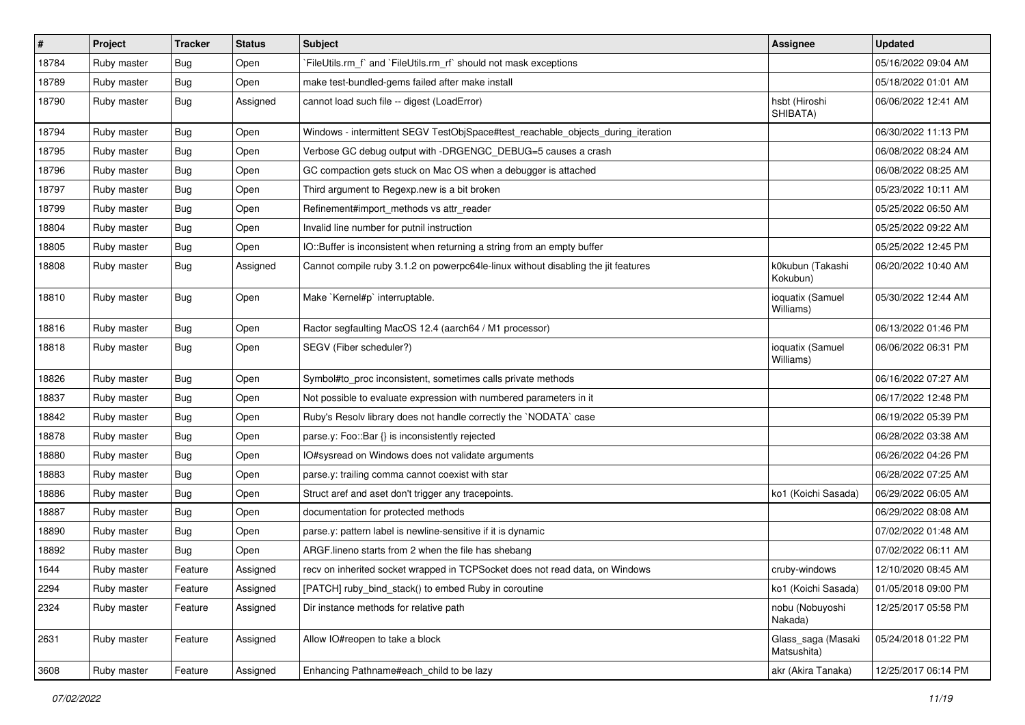| $\vert$ # | Project     | <b>Tracker</b> | <b>Status</b> | Subject                                                                           | <b>Assignee</b>                   | <b>Updated</b>      |
|-----------|-------------|----------------|---------------|-----------------------------------------------------------------------------------|-----------------------------------|---------------------|
| 18784     | Ruby master | Bug            | Open          | FileUtils.rm_f` and `FileUtils.rm_rf` should not mask exceptions                  |                                   | 05/16/2022 09:04 AM |
| 18789     | Ruby master | Bug            | Open          | make test-bundled-gems failed after make install                                  |                                   | 05/18/2022 01:01 AM |
| 18790     | Ruby master | Bug            | Assigned      | cannot load such file -- digest (LoadError)                                       | hsbt (Hiroshi<br>SHIBATA)         | 06/06/2022 12:41 AM |
| 18794     | Ruby master | Bug            | Open          | Windows - intermittent SEGV TestObjSpace#test_reachable_objects_during_iteration  |                                   | 06/30/2022 11:13 PM |
| 18795     | Ruby master | Bug            | Open          | Verbose GC debug output with -DRGENGC_DEBUG=5 causes a crash                      |                                   | 06/08/2022 08:24 AM |
| 18796     | Ruby master | <b>Bug</b>     | Open          | GC compaction gets stuck on Mac OS when a debugger is attached                    |                                   | 06/08/2022 08:25 AM |
| 18797     | Ruby master | Bug            | Open          | Third argument to Regexp.new is a bit broken                                      |                                   | 05/23/2022 10:11 AM |
| 18799     | Ruby master | Bug            | Open          | Refinement#import_methods vs attr_reader                                          |                                   | 05/25/2022 06:50 AM |
| 18804     | Ruby master | Bug            | Open          | Invalid line number for putnil instruction                                        |                                   | 05/25/2022 09:22 AM |
| 18805     | Ruby master | <b>Bug</b>     | Open          | IO::Buffer is inconsistent when returning a string from an empty buffer           |                                   | 05/25/2022 12:45 PM |
| 18808     | Ruby master | Bug            | Assigned      | Cannot compile ruby 3.1.2 on powerpc64le-linux without disabling the jit features | k0kubun (Takashi<br>Kokubun)      | 06/20/2022 10:40 AM |
| 18810     | Ruby master | Bug            | Open          | Make `Kernel#p` interruptable.                                                    | ioquatix (Samuel<br>Williams)     | 05/30/2022 12:44 AM |
| 18816     | Ruby master | Bug            | Open          | Ractor segfaulting MacOS 12.4 (aarch64 / M1 processor)                            |                                   | 06/13/2022 01:46 PM |
| 18818     | Ruby master | Bug            | Open          | SEGV (Fiber scheduler?)                                                           | ioquatix (Samuel<br>Williams)     | 06/06/2022 06:31 PM |
| 18826     | Ruby master | Bug            | Open          | Symbol#to proc inconsistent, sometimes calls private methods                      |                                   | 06/16/2022 07:27 AM |
| 18837     | Ruby master | <b>Bug</b>     | Open          | Not possible to evaluate expression with numbered parameters in it                |                                   | 06/17/2022 12:48 PM |
| 18842     | Ruby master | Bug            | Open          | Ruby's Resolv library does not handle correctly the `NODATA` case                 |                                   | 06/19/2022 05:39 PM |
| 18878     | Ruby master | <b>Bug</b>     | Open          | parse.y: Foo::Bar {} is inconsistently rejected                                   |                                   | 06/28/2022 03:38 AM |
| 18880     | Ruby master | Bug            | Open          | IO#sysread on Windows does not validate arguments                                 |                                   | 06/26/2022 04:26 PM |
| 18883     | Ruby master | <b>Bug</b>     | Open          | parse.y: trailing comma cannot coexist with star                                  |                                   | 06/28/2022 07:25 AM |
| 18886     | Ruby master | Bug            | Open          | Struct aref and aset don't trigger any tracepoints.                               | ko1 (Koichi Sasada)               | 06/29/2022 06:05 AM |
| 18887     | Ruby master | <b>Bug</b>     | Open          | documentation for protected methods                                               |                                   | 06/29/2022 08:08 AM |
| 18890     | Ruby master | <b>Bug</b>     | Open          | parse.y: pattern label is newline-sensitive if it is dynamic                      |                                   | 07/02/2022 01:48 AM |
| 18892     | Ruby master | <b>Bug</b>     | Open          | ARGF. lineno starts from 2 when the file has shebang                              |                                   | 07/02/2022 06:11 AM |
| 1644      | Ruby master | Feature        | Assigned      | recv on inherited socket wrapped in TCPSocket does not read data, on Windows      | cruby-windows                     | 12/10/2020 08:45 AM |
| 2294      | Ruby master | Feature        | Assigned      | [PATCH] ruby_bind_stack() to embed Ruby in coroutine                              | ko1 (Koichi Sasada)               | 01/05/2018 09:00 PM |
| 2324      | Ruby master | Feature        | Assigned      | Dir instance methods for relative path                                            | nobu (Nobuyoshi<br>Nakada)        | 12/25/2017 05:58 PM |
| 2631      | Ruby master | Feature        | Assigned      | Allow IO#reopen to take a block                                                   | Glass_saga (Masaki<br>Matsushita) | 05/24/2018 01:22 PM |
| 3608      | Ruby master | Feature        | Assigned      | Enhancing Pathname#each_child to be lazy                                          | akr (Akira Tanaka)                | 12/25/2017 06:14 PM |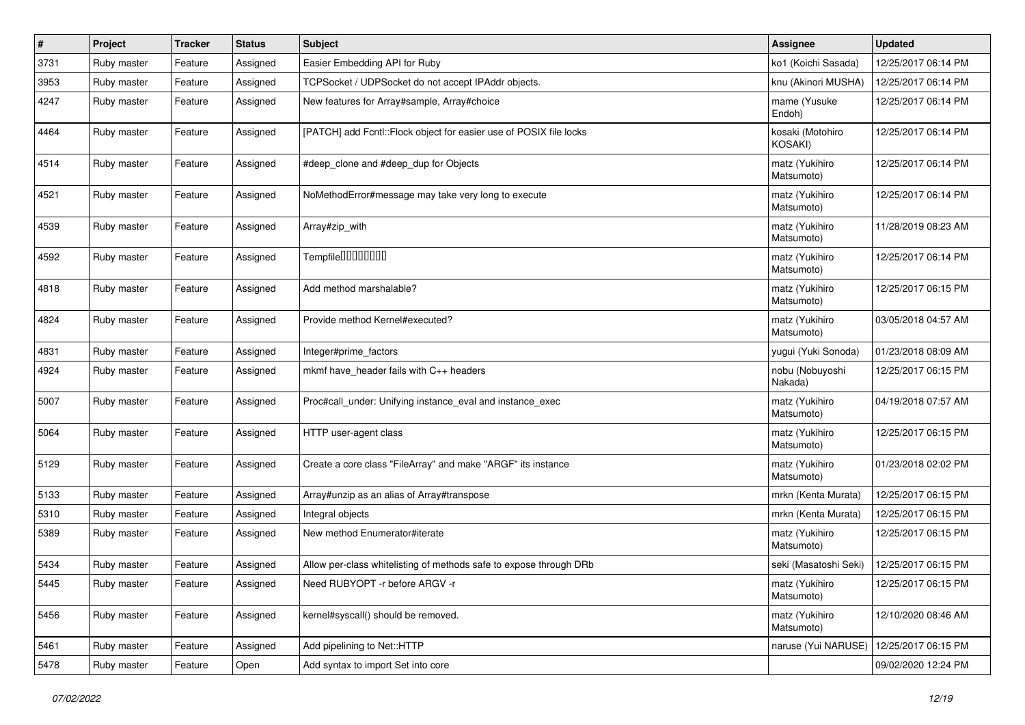| $\sharp$ | Project     | <b>Tracker</b> | <b>Status</b> | Subject                                                            | Assignee                     | <b>Updated</b>      |
|----------|-------------|----------------|---------------|--------------------------------------------------------------------|------------------------------|---------------------|
| 3731     | Ruby master | Feature        | Assigned      | Easier Embedding API for Ruby                                      | ko1 (Koichi Sasada)          | 12/25/2017 06:14 PM |
| 3953     | Ruby master | Feature        | Assigned      | TCPSocket / UDPSocket do not accept IPAddr objects.                | knu (Akinori MUSHA)          | 12/25/2017 06:14 PM |
| 4247     | Ruby master | Feature        | Assigned      | New features for Array#sample, Array#choice                        | mame (Yusuke<br>Endoh)       | 12/25/2017 06:14 PM |
| 4464     | Ruby master | Feature        | Assigned      | [PATCH] add Fcntl::Flock object for easier use of POSIX file locks | kosaki (Motohiro<br>KOSAKI)  | 12/25/2017 06:14 PM |
| 4514     | Ruby master | Feature        | Assigned      | #deep clone and #deep dup for Objects                              | matz (Yukihiro<br>Matsumoto) | 12/25/2017 06:14 PM |
| 4521     | Ruby master | Feature        | Assigned      | NoMethodError#message may take very long to execute                | matz (Yukihiro<br>Matsumoto) | 12/25/2017 06:14 PM |
| 4539     | Ruby master | Feature        | Assigned      | Array#zip_with                                                     | matz (Yukihiro<br>Matsumoto) | 11/28/2019 08:23 AM |
| 4592     | Ruby master | Feature        | Assigned      | Tempfile0000000                                                    | matz (Yukihiro<br>Matsumoto) | 12/25/2017 06:14 PM |
| 4818     | Ruby master | Feature        | Assigned      | Add method marshalable?                                            | matz (Yukihiro<br>Matsumoto) | 12/25/2017 06:15 PM |
| 4824     | Ruby master | Feature        | Assigned      | Provide method Kernel#executed?                                    | matz (Yukihiro<br>Matsumoto) | 03/05/2018 04:57 AM |
| 4831     | Ruby master | Feature        | Assigned      | Integer#prime_factors                                              | yugui (Yuki Sonoda)          | 01/23/2018 08:09 AM |
| 4924     | Ruby master | Feature        | Assigned      | mkmf have header fails with C++ headers                            | nobu (Nobuyoshi<br>Nakada)   | 12/25/2017 06:15 PM |
| 5007     | Ruby master | Feature        | Assigned      | Proc#call_under: Unifying instance_eval and instance_exec          | matz (Yukihiro<br>Matsumoto) | 04/19/2018 07:57 AM |
| 5064     | Ruby master | Feature        | Assigned      | HTTP user-agent class                                              | matz (Yukihiro<br>Matsumoto) | 12/25/2017 06:15 PM |
| 5129     | Ruby master | Feature        | Assigned      | Create a core class "FileArray" and make "ARGF" its instance       | matz (Yukihiro<br>Matsumoto) | 01/23/2018 02:02 PM |
| 5133     | Ruby master | Feature        | Assigned      | Array#unzip as an alias of Array#transpose                         | mrkn (Kenta Murata)          | 12/25/2017 06:15 PM |
| 5310     | Ruby master | Feature        | Assigned      | Integral objects                                                   | mrkn (Kenta Murata)          | 12/25/2017 06:15 PM |
| 5389     | Ruby master | Feature        | Assigned      | New method Enumerator#iterate                                      | matz (Yukihiro<br>Matsumoto) | 12/25/2017 06:15 PM |
| 5434     | Ruby master | Feature        | Assigned      | Allow per-class whitelisting of methods safe to expose through DRb | seki (Masatoshi Seki)        | 12/25/2017 06:15 PM |
| 5445     | Ruby master | Feature        | Assigned      | Need RUBYOPT - r before ARGV - r                                   | matz (Yukihiro<br>Matsumoto) | 12/25/2017 06:15 PM |
| 5456     | Ruby master | Feature        | Assigned      | kernel#syscall() should be removed.                                | matz (Yukihiro<br>Matsumoto) | 12/10/2020 08:46 AM |
| 5461     | Ruby master | Feature        | Assigned      | Add pipelining to Net::HTTP                                        | naruse (Yui NARUSE)          | 12/25/2017 06:15 PM |
| 5478     | Ruby master | Feature        | Open          | Add syntax to import Set into core                                 |                              | 09/02/2020 12:24 PM |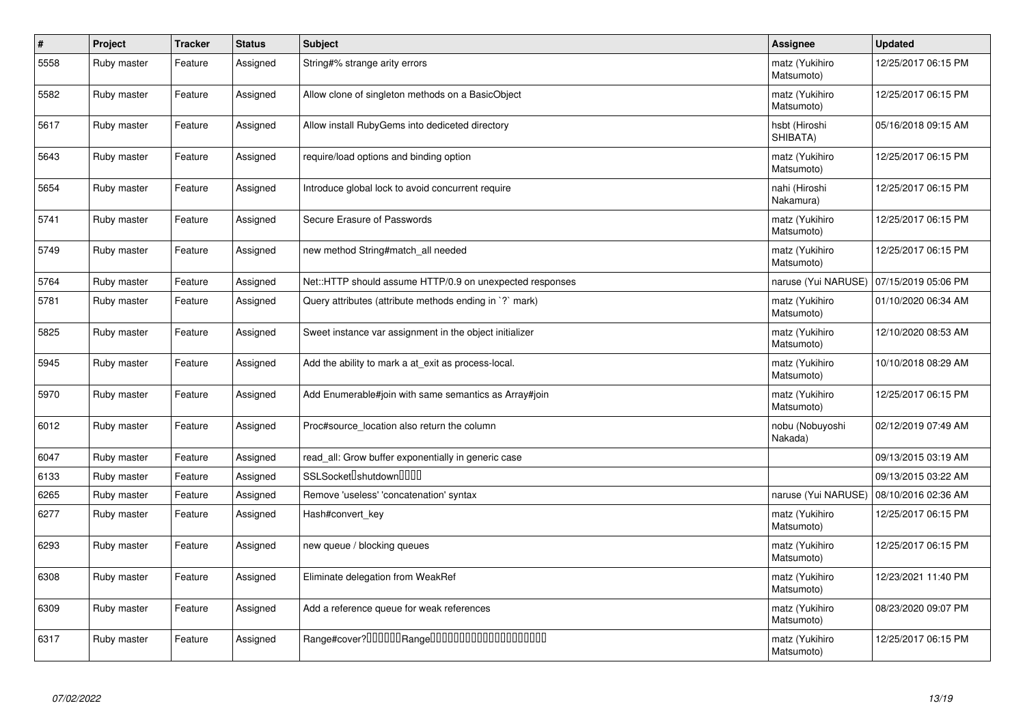| $\sharp$ | Project     | <b>Tracker</b> | <b>Status</b> | <b>Subject</b>                                           | <b>Assignee</b>              | <b>Updated</b>      |
|----------|-------------|----------------|---------------|----------------------------------------------------------|------------------------------|---------------------|
| 5558     | Ruby master | Feature        | Assigned      | String#% strange arity errors                            | matz (Yukihiro<br>Matsumoto) | 12/25/2017 06:15 PM |
| 5582     | Ruby master | Feature        | Assigned      | Allow clone of singleton methods on a BasicObject        | matz (Yukihiro<br>Matsumoto) | 12/25/2017 06:15 PM |
| 5617     | Ruby master | Feature        | Assigned      | Allow install RubyGems into dediceted directory          | hsbt (Hiroshi<br>SHIBATA)    | 05/16/2018 09:15 AM |
| 5643     | Ruby master | Feature        | Assigned      | require/load options and binding option                  | matz (Yukihiro<br>Matsumoto) | 12/25/2017 06:15 PM |
| 5654     | Ruby master | Feature        | Assigned      | Introduce global lock to avoid concurrent require        | nahi (Hiroshi<br>Nakamura)   | 12/25/2017 06:15 PM |
| 5741     | Ruby master | Feature        | Assigned      | Secure Erasure of Passwords                              | matz (Yukihiro<br>Matsumoto) | 12/25/2017 06:15 PM |
| 5749     | Ruby master | Feature        | Assigned      | new method String#match all needed                       | matz (Yukihiro<br>Matsumoto) | 12/25/2017 06:15 PM |
| 5764     | Ruby master | Feature        | Assigned      | Net::HTTP should assume HTTP/0.9 on unexpected responses | naruse (Yui NARUSE)          | 07/15/2019 05:06 PM |
| 5781     | Ruby master | Feature        | Assigned      | Query attributes (attribute methods ending in `?` mark)  | matz (Yukihiro<br>Matsumoto) | 01/10/2020 06:34 AM |
| 5825     | Ruby master | Feature        | Assigned      | Sweet instance var assignment in the object initializer  | matz (Yukihiro<br>Matsumoto) | 12/10/2020 08:53 AM |
| 5945     | Ruby master | Feature        | Assigned      | Add the ability to mark a at exit as process-local.      | matz (Yukihiro<br>Matsumoto) | 10/10/2018 08:29 AM |
| 5970     | Ruby master | Feature        | Assigned      | Add Enumerable#join with same semantics as Array#join    | matz (Yukihiro<br>Matsumoto) | 12/25/2017 06:15 PM |
| 6012     | Ruby master | Feature        | Assigned      | Proc#source_location also return the column              | nobu (Nobuyoshi<br>Nakada)   | 02/12/2019 07:49 AM |
| 6047     | Ruby master | Feature        | Assigned      | read_all: Grow buffer exponentially in generic case      |                              | 09/13/2015 03:19 AM |
| 6133     | Ruby master | Feature        | Assigned      | SSLSocket <sup>[]</sup> shutdown <sup>[][][]</sup>       |                              | 09/13/2015 03:22 AM |
| 6265     | Ruby master | Feature        | Assigned      | Remove 'useless' 'concatenation' syntax                  | naruse (Yui NARUSE)          | 08/10/2016 02:36 AM |
| 6277     | Ruby master | Feature        | Assigned      | Hash#convert key                                         | matz (Yukihiro<br>Matsumoto) | 12/25/2017 06:15 PM |
| 6293     | Ruby master | Feature        | Assigned      | new queue / blocking queues                              | matz (Yukihiro<br>Matsumoto) | 12/25/2017 06:15 PM |
| 6308     | Ruby master | Feature        | Assigned      | Eliminate delegation from WeakRef                        | matz (Yukihiro<br>Matsumoto) | 12/23/2021 11:40 PM |
| 6309     | Ruby master | Feature        | Assigned      | Add a reference queue for weak references                | matz (Yukihiro<br>Matsumoto) | 08/23/2020 09:07 PM |
| 6317     | Ruby master | Feature        | Assigned      | Range#cover?000000Range00000000000000000000              | matz (Yukihiro<br>Matsumoto) | 12/25/2017 06:15 PM |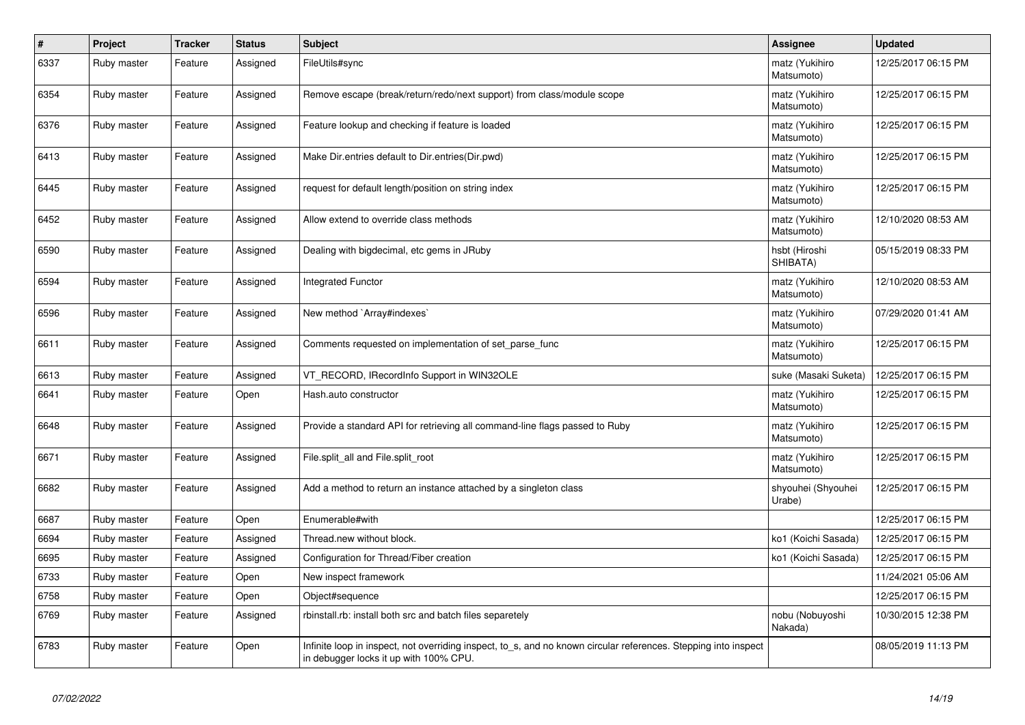| $\vert$ # | Project     | <b>Tracker</b> | <b>Status</b> | <b>Subject</b>                                                                                                                                            | Assignee                     | <b>Updated</b>      |
|-----------|-------------|----------------|---------------|-----------------------------------------------------------------------------------------------------------------------------------------------------------|------------------------------|---------------------|
| 6337      | Ruby master | Feature        | Assigned      | FileUtils#sync                                                                                                                                            | matz (Yukihiro<br>Matsumoto) | 12/25/2017 06:15 PM |
| 6354      | Ruby master | Feature        | Assigned      | Remove escape (break/return/redo/next support) from class/module scope                                                                                    | matz (Yukihiro<br>Matsumoto) | 12/25/2017 06:15 PM |
| 6376      | Ruby master | Feature        | Assigned      | Feature lookup and checking if feature is loaded                                                                                                          | matz (Yukihiro<br>Matsumoto) | 12/25/2017 06:15 PM |
| 6413      | Ruby master | Feature        | Assigned      | Make Dir.entries default to Dir.entries (Dir.pwd)                                                                                                         | matz (Yukihiro<br>Matsumoto) | 12/25/2017 06:15 PM |
| 6445      | Ruby master | Feature        | Assigned      | request for default length/position on string index                                                                                                       | matz (Yukihiro<br>Matsumoto) | 12/25/2017 06:15 PM |
| 6452      | Ruby master | Feature        | Assigned      | Allow extend to override class methods                                                                                                                    | matz (Yukihiro<br>Matsumoto) | 12/10/2020 08:53 AM |
| 6590      | Ruby master | Feature        | Assigned      | Dealing with bigdecimal, etc gems in JRuby                                                                                                                | hsbt (Hiroshi<br>SHIBATA)    | 05/15/2019 08:33 PM |
| 6594      | Ruby master | Feature        | Assigned      | <b>Integrated Functor</b>                                                                                                                                 | matz (Yukihiro<br>Matsumoto) | 12/10/2020 08:53 AM |
| 6596      | Ruby master | Feature        | Assigned      | New method `Array#indexes`                                                                                                                                | matz (Yukihiro<br>Matsumoto) | 07/29/2020 01:41 AM |
| 6611      | Ruby master | Feature        | Assigned      | Comments requested on implementation of set parse func                                                                                                    | matz (Yukihiro<br>Matsumoto) | 12/25/2017 06:15 PM |
| 6613      | Ruby master | Feature        | Assigned      | VT_RECORD, IRecordInfo Support in WIN32OLE                                                                                                                | suke (Masaki Suketa)         | 12/25/2017 06:15 PM |
| 6641      | Ruby master | Feature        | Open          | Hash.auto constructor                                                                                                                                     | matz (Yukihiro<br>Matsumoto) | 12/25/2017 06:15 PM |
| 6648      | Ruby master | Feature        | Assigned      | Provide a standard API for retrieving all command-line flags passed to Ruby                                                                               | matz (Yukihiro<br>Matsumoto) | 12/25/2017 06:15 PM |
| 6671      | Ruby master | Feature        | Assigned      | File.split all and File.split root                                                                                                                        | matz (Yukihiro<br>Matsumoto) | 12/25/2017 06:15 PM |
| 6682      | Ruby master | Feature        | Assigned      | Add a method to return an instance attached by a singleton class                                                                                          | shyouhei (Shyouhei<br>Urabe) | 12/25/2017 06:15 PM |
| 6687      | Ruby master | Feature        | Open          | Enumerable#with                                                                                                                                           |                              | 12/25/2017 06:15 PM |
| 6694      | Ruby master | Feature        | Assigned      | Thread.new without block.                                                                                                                                 | ko1 (Koichi Sasada)          | 12/25/2017 06:15 PM |
| 6695      | Ruby master | Feature        | Assigned      | Configuration for Thread/Fiber creation                                                                                                                   | ko1 (Koichi Sasada)          | 12/25/2017 06:15 PM |
| 6733      | Ruby master | Feature        | Open          | New inspect framework                                                                                                                                     |                              | 11/24/2021 05:06 AM |
| 6758      | Ruby master | Feature        | Open          | Object#sequence                                                                                                                                           |                              | 12/25/2017 06:15 PM |
| 6769      | Ruby master | Feature        | Assigned      | rbinstall.rb: install both src and batch files separetely                                                                                                 | nobu (Nobuyoshi<br>Nakada)   | 10/30/2015 12:38 PM |
| 6783      | Ruby master | Feature        | Open          | Infinite loop in inspect, not overriding inspect, to s, and no known circular references. Stepping into inspect<br>in debugger locks it up with 100% CPU. |                              | 08/05/2019 11:13 PM |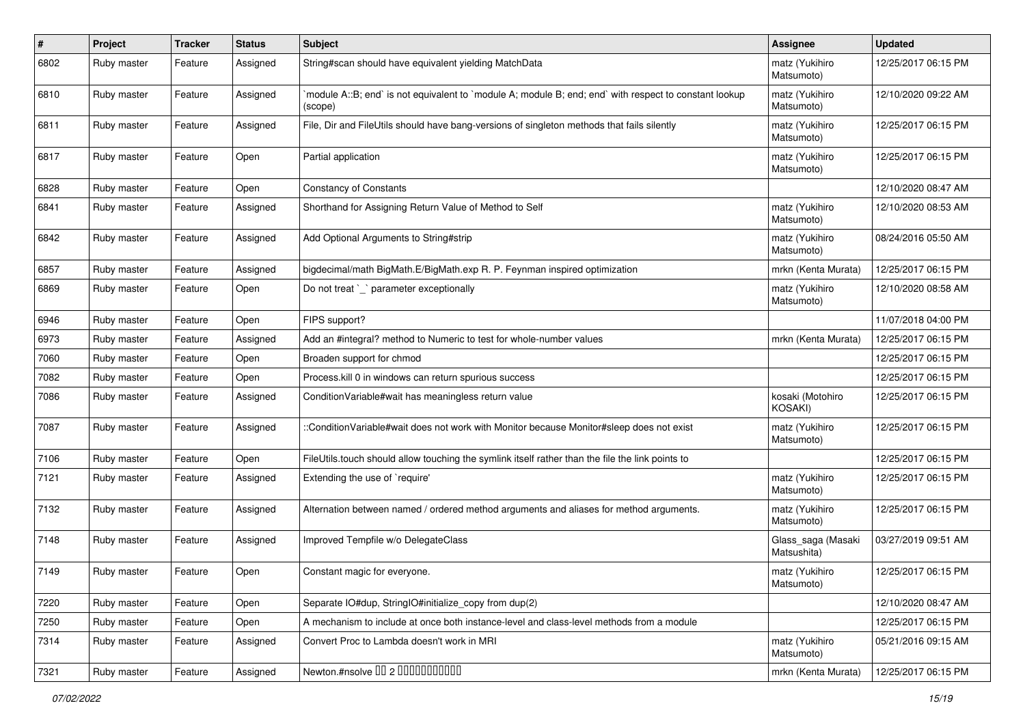| #    | Project     | <b>Tracker</b> | <b>Status</b> | <b>Subject</b>                                                                                                    | <b>Assignee</b>                   | <b>Updated</b>      |
|------|-------------|----------------|---------------|-------------------------------------------------------------------------------------------------------------------|-----------------------------------|---------------------|
| 6802 | Ruby master | Feature        | Assigned      | String#scan should have equivalent yielding MatchData                                                             | matz (Yukihiro<br>Matsumoto)      | 12/25/2017 06:15 PM |
| 6810 | Ruby master | Feature        | Assigned      | module A::B; end` is not equivalent to `module A; module B; end; end` with respect to constant lookup`<br>(scope) | matz (Yukihiro<br>Matsumoto)      | 12/10/2020 09:22 AM |
| 6811 | Ruby master | Feature        | Assigned      | File, Dir and FileUtils should have bang-versions of singleton methods that fails silently                        | matz (Yukihiro<br>Matsumoto)      | 12/25/2017 06:15 PM |
| 6817 | Ruby master | Feature        | Open          | Partial application                                                                                               | matz (Yukihiro<br>Matsumoto)      | 12/25/2017 06:15 PM |
| 6828 | Ruby master | Feature        | Open          | <b>Constancy of Constants</b>                                                                                     |                                   | 12/10/2020 08:47 AM |
| 6841 | Ruby master | Feature        | Assigned      | Shorthand for Assigning Return Value of Method to Self                                                            | matz (Yukihiro<br>Matsumoto)      | 12/10/2020 08:53 AM |
| 6842 | Ruby master | Feature        | Assigned      | Add Optional Arguments to String#strip                                                                            | matz (Yukihiro<br>Matsumoto)      | 08/24/2016 05:50 AM |
| 6857 | Ruby master | Feature        | Assigned      | bigdecimal/math BigMath.E/BigMath.exp R. P. Feynman inspired optimization                                         | mrkn (Kenta Murata)               | 12/25/2017 06:15 PM |
| 6869 | Ruby master | Feature        | Open          | Do not treat `_` parameter exceptionally                                                                          | matz (Yukihiro<br>Matsumoto)      | 12/10/2020 08:58 AM |
| 6946 | Ruby master | Feature        | Open          | FIPS support?                                                                                                     |                                   | 11/07/2018 04:00 PM |
| 6973 | Ruby master | Feature        | Assigned      | Add an #integral? method to Numeric to test for whole-number values                                               | mrkn (Kenta Murata)               | 12/25/2017 06:15 PM |
| 7060 | Ruby master | Feature        | Open          | Broaden support for chmod                                                                                         |                                   | 12/25/2017 06:15 PM |
| 7082 | Ruby master | Feature        | Open          | Process.kill 0 in windows can return spurious success                                                             |                                   | 12/25/2017 06:15 PM |
| 7086 | Ruby master | Feature        | Assigned      | Condition Variable#wait has meaningless return value                                                              | kosaki (Motohiro<br>KOSAKI)       | 12/25/2017 06:15 PM |
| 7087 | Ruby master | Feature        | Assigned      | ::ConditionVariable#wait does not work with Monitor because Monitor#sleep does not exist                          | matz (Yukihiro<br>Matsumoto)      | 12/25/2017 06:15 PM |
| 7106 | Ruby master | Feature        | Open          | FileUtils.touch should allow touching the symlink itself rather than the file the link points to                  |                                   | 12/25/2017 06:15 PM |
| 7121 | Ruby master | Feature        | Assigned      | Extending the use of `require'                                                                                    | matz (Yukihiro<br>Matsumoto)      | 12/25/2017 06:15 PM |
| 7132 | Ruby master | Feature        | Assigned      | Alternation between named / ordered method arguments and aliases for method arguments.                            | matz (Yukihiro<br>Matsumoto)      | 12/25/2017 06:15 PM |
| 7148 | Ruby master | Feature        | Assigned      | Improved Tempfile w/o DelegateClass                                                                               | Glass_saga (Masaki<br>Matsushita) | 03/27/2019 09:51 AM |
| 7149 | Ruby master | Feature        | Open          | Constant magic for everyone.                                                                                      | matz (Yukihiro<br>Matsumoto)      | 12/25/2017 06:15 PM |
| 7220 | Ruby master | Feature        | Open          | Separate IO#dup, StringIO#initialize_copy from dup(2)                                                             |                                   | 12/10/2020 08:47 AM |
| 7250 | Ruby master | Feature        | Open          | A mechanism to include at once both instance-level and class-level methods from a module                          |                                   | 12/25/2017 06:15 PM |
| 7314 | Ruby master | Feature        | Assigned      | Convert Proc to Lambda doesn't work in MRI                                                                        | matz (Yukihiro<br>Matsumoto)      | 05/21/2016 09:15 AM |
| 7321 | Ruby master | Feature        | Assigned      | Newton.#nsolve 00 2 0000000000                                                                                    | mrkn (Kenta Murata)               | 12/25/2017 06:15 PM |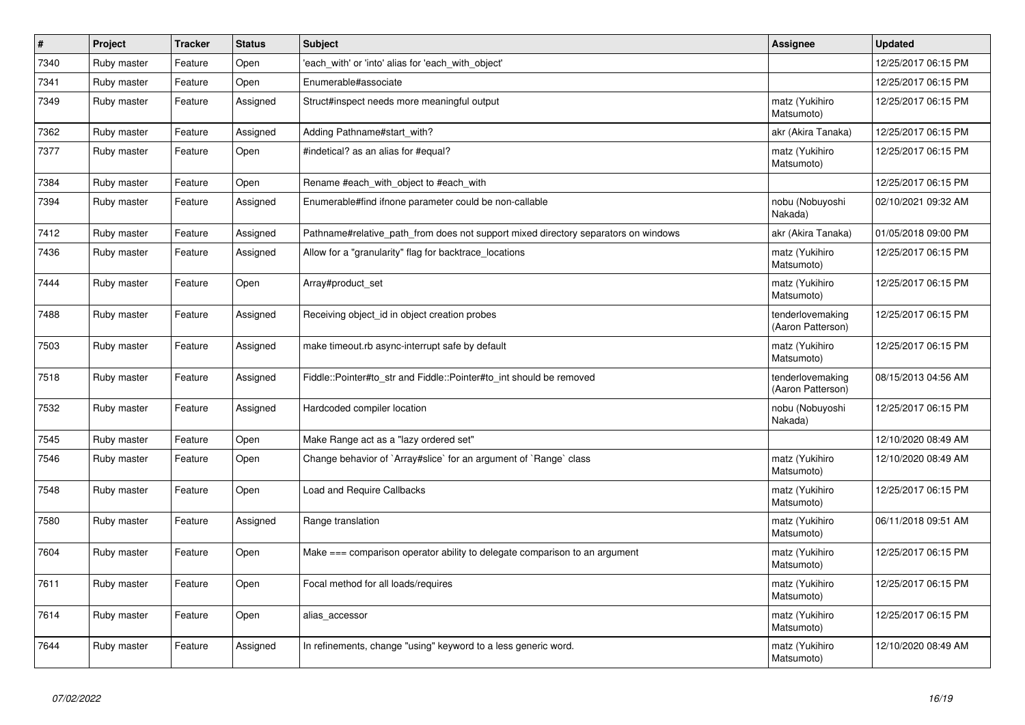| $\vert$ # | Project     | <b>Tracker</b> | <b>Status</b> | <b>Subject</b>                                                                     | <b>Assignee</b>                       | <b>Updated</b>      |
|-----------|-------------|----------------|---------------|------------------------------------------------------------------------------------|---------------------------------------|---------------------|
| 7340      | Ruby master | Feature        | Open          | 'each with' or 'into' alias for 'each with object'                                 |                                       | 12/25/2017 06:15 PM |
| 7341      | Ruby master | Feature        | Open          | Enumerable#associate                                                               |                                       | 12/25/2017 06:15 PM |
| 7349      | Ruby master | Feature        | Assigned      | Struct#inspect needs more meaningful output                                        | matz (Yukihiro<br>Matsumoto)          | 12/25/2017 06:15 PM |
| 7362      | Ruby master | Feature        | Assigned      | Adding Pathname#start with?                                                        | akr (Akira Tanaka)                    | 12/25/2017 06:15 PM |
| 7377      | Ruby master | Feature        | Open          | #indetical? as an alias for #equal?                                                | matz (Yukihiro<br>Matsumoto)          | 12/25/2017 06:15 PM |
| 7384      | Ruby master | Feature        | Open          | Rename #each_with_object to #each_with                                             |                                       | 12/25/2017 06:15 PM |
| 7394      | Ruby master | Feature        | Assigned      | Enumerable#find ifnone parameter could be non-callable                             | nobu (Nobuyoshi<br>Nakada)            | 02/10/2021 09:32 AM |
| 7412      | Ruby master | Feature        | Assigned      | Pathname#relative path from does not support mixed directory separators on windows | akr (Akira Tanaka)                    | 01/05/2018 09:00 PM |
| 7436      | Ruby master | Feature        | Assigned      | Allow for a "granularity" flag for backtrace_locations                             | matz (Yukihiro<br>Matsumoto)          | 12/25/2017 06:15 PM |
| 7444      | Ruby master | Feature        | Open          | Array#product_set                                                                  | matz (Yukihiro<br>Matsumoto)          | 12/25/2017 06:15 PM |
| 7488      | Ruby master | Feature        | Assigned      | Receiving object_id in object creation probes                                      | tenderlovemaking<br>(Aaron Patterson) | 12/25/2017 06:15 PM |
| 7503      | Ruby master | Feature        | Assigned      | make timeout.rb async-interrupt safe by default                                    | matz (Yukihiro<br>Matsumoto)          | 12/25/2017 06:15 PM |
| 7518      | Ruby master | Feature        | Assigned      | Fiddle::Pointer#to_str and Fiddle::Pointer#to_int should be removed                | tenderlovemaking<br>(Aaron Patterson) | 08/15/2013 04:56 AM |
| 7532      | Ruby master | Feature        | Assigned      | Hardcoded compiler location                                                        | nobu (Nobuyoshi<br>Nakada)            | 12/25/2017 06:15 PM |
| 7545      | Ruby master | Feature        | Open          | Make Range act as a "lazy ordered set"                                             |                                       | 12/10/2020 08:49 AM |
| 7546      | Ruby master | Feature        | Open          | Change behavior of `Array#slice` for an argument of `Range` class                  | matz (Yukihiro<br>Matsumoto)          | 12/10/2020 08:49 AM |
| 7548      | Ruby master | Feature        | Open          | <b>Load and Require Callbacks</b>                                                  | matz (Yukihiro<br>Matsumoto)          | 12/25/2017 06:15 PM |
| 7580      | Ruby master | Feature        | Assigned      | Range translation                                                                  | matz (Yukihiro<br>Matsumoto)          | 06/11/2018 09:51 AM |
| 7604      | Ruby master | Feature        | Open          | Make === comparison operator ability to delegate comparison to an argument         | matz (Yukihiro<br>Matsumoto)          | 12/25/2017 06:15 PM |
| 7611      | Ruby master | Feature        | Open          | Focal method for all loads/requires                                                | matz (Yukihiro<br>Matsumoto)          | 12/25/2017 06:15 PM |
| 7614      | Ruby master | Feature        | Open          | alias_accessor                                                                     | matz (Yukihiro<br>Matsumoto)          | 12/25/2017 06:15 PM |
| 7644      | Ruby master | Feature        | Assigned      | In refinements, change "using" keyword to a less generic word.                     | matz (Yukihiro<br>Matsumoto)          | 12/10/2020 08:49 AM |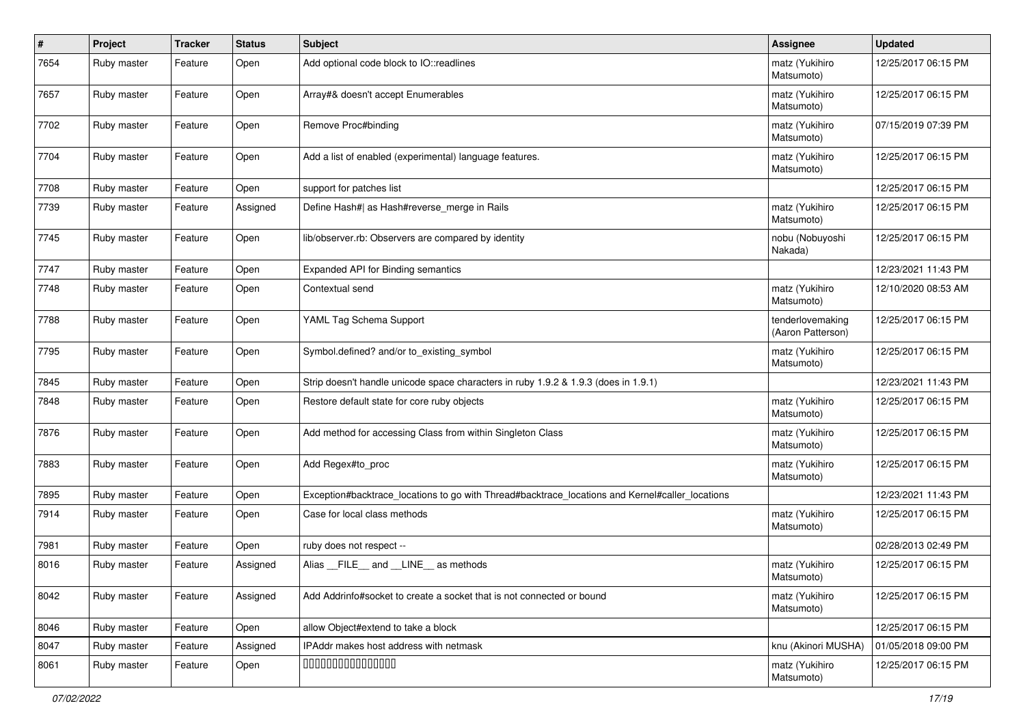| $\sharp$ | Project     | <b>Tracker</b> | <b>Status</b> | Subject                                                                                         | <b>Assignee</b>                       | <b>Updated</b>      |
|----------|-------------|----------------|---------------|-------------------------------------------------------------------------------------------------|---------------------------------------|---------------------|
| 7654     | Ruby master | Feature        | Open          | Add optional code block to IO::readlines                                                        | matz (Yukihiro<br>Matsumoto)          | 12/25/2017 06:15 PM |
| 7657     | Ruby master | Feature        | Open          | Array#& doesn't accept Enumerables                                                              | matz (Yukihiro<br>Matsumoto)          | 12/25/2017 06:15 PM |
| 7702     | Ruby master | Feature        | Open          | Remove Proc#binding                                                                             | matz (Yukihiro<br>Matsumoto)          | 07/15/2019 07:39 PM |
| 7704     | Ruby master | Feature        | Open          | Add a list of enabled (experimental) language features.                                         | matz (Yukihiro<br>Matsumoto)          | 12/25/2017 06:15 PM |
| 7708     | Ruby master | Feature        | Open          | support for patches list                                                                        |                                       | 12/25/2017 06:15 PM |
| 7739     | Ruby master | Feature        | Assigned      | Define Hash#  as Hash#reverse_merge in Rails                                                    | matz (Yukihiro<br>Matsumoto)          | 12/25/2017 06:15 PM |
| 7745     | Ruby master | Feature        | Open          | lib/observer.rb: Observers are compared by identity                                             | nobu (Nobuyoshi<br>Nakada)            | 12/25/2017 06:15 PM |
| 7747     | Ruby master | Feature        | Open          | Expanded API for Binding semantics                                                              |                                       | 12/23/2021 11:43 PM |
| 7748     | Ruby master | Feature        | Open          | Contextual send                                                                                 | matz (Yukihiro<br>Matsumoto)          | 12/10/2020 08:53 AM |
| 7788     | Ruby master | Feature        | Open          | YAML Tag Schema Support                                                                         | tenderlovemaking<br>(Aaron Patterson) | 12/25/2017 06:15 PM |
| 7795     | Ruby master | Feature        | Open          | Symbol.defined? and/or to_existing_symbol                                                       | matz (Yukihiro<br>Matsumoto)          | 12/25/2017 06:15 PM |
| 7845     | Ruby master | Feature        | Open          | Strip doesn't handle unicode space characters in ruby 1.9.2 & 1.9.3 (does in 1.9.1)             |                                       | 12/23/2021 11:43 PM |
| 7848     | Ruby master | Feature        | Open          | Restore default state for core ruby objects                                                     | matz (Yukihiro<br>Matsumoto)          | 12/25/2017 06:15 PM |
| 7876     | Ruby master | Feature        | Open          | Add method for accessing Class from within Singleton Class                                      | matz (Yukihiro<br>Matsumoto)          | 12/25/2017 06:15 PM |
| 7883     | Ruby master | Feature        | Open          | Add Regex#to_proc                                                                               | matz (Yukihiro<br>Matsumoto)          | 12/25/2017 06:15 PM |
| 7895     | Ruby master | Feature        | Open          | Exception#backtrace_locations to go with Thread#backtrace_locations and Kernel#caller_locations |                                       | 12/23/2021 11:43 PM |
| 7914     | Ruby master | Feature        | Open          | Case for local class methods                                                                    | matz (Yukihiro<br>Matsumoto)          | 12/25/2017 06:15 PM |
| 7981     | Ruby master | Feature        | Open          | ruby does not respect --                                                                        |                                       | 02/28/2013 02:49 PM |
| 8016     | Ruby master | Feature        | Assigned      | Alias FILE and LINE as methods                                                                  | matz (Yukihiro<br>Matsumoto)          | 12/25/2017 06:15 PM |
| 8042     | Ruby master | Feature        | Assigned      | Add Addrinfo#socket to create a socket that is not connected or bound                           | matz (Yukihiro<br>Matsumoto)          | 12/25/2017 06:15 PM |
| 8046     | Ruby master | Feature        | Open          | allow Object#extend to take a block                                                             |                                       | 12/25/2017 06:15 PM |
| 8047     | Ruby master | Feature        | Assigned      | IPAddr makes host address with netmask                                                          | knu (Akinori MUSHA)                   | 01/05/2018 09:00 PM |
| 8061     | Ruby master | Feature        | Open          | 000000000000000                                                                                 | matz (Yukihiro<br>Matsumoto)          | 12/25/2017 06:15 PM |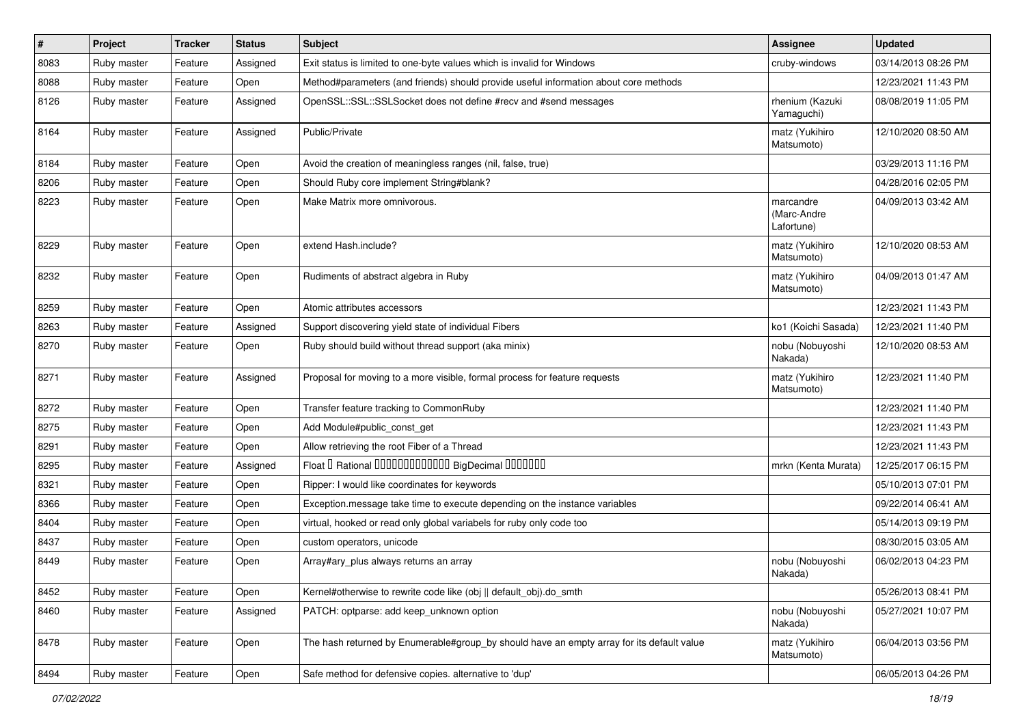| $\vert$ # | Project     | <b>Tracker</b> | <b>Status</b> | Subject                                                                                   | <b>Assignee</b>                        | <b>Updated</b>      |
|-----------|-------------|----------------|---------------|-------------------------------------------------------------------------------------------|----------------------------------------|---------------------|
| 8083      | Ruby master | Feature        | Assigned      | Exit status is limited to one-byte values which is invalid for Windows                    | cruby-windows                          | 03/14/2013 08:26 PM |
| 8088      | Ruby master | Feature        | Open          | Method#parameters (and friends) should provide useful information about core methods      |                                        | 12/23/2021 11:43 PM |
| 8126      | Ruby master | Feature        | Assigned      | OpenSSL::SSL::SSLSocket does not define #recv and #send messages                          | rhenium (Kazuki<br>Yamaguchi)          | 08/08/2019 11:05 PM |
| 8164      | Ruby master | Feature        | Assigned      | Public/Private                                                                            | matz (Yukihiro<br>Matsumoto)           | 12/10/2020 08:50 AM |
| 8184      | Ruby master | Feature        | Open          | Avoid the creation of meaningless ranges (nil, false, true)                               |                                        | 03/29/2013 11:16 PM |
| 8206      | Ruby master | Feature        | Open          | Should Ruby core implement String#blank?                                                  |                                        | 04/28/2016 02:05 PM |
| 8223      | Ruby master | Feature        | Open          | Make Matrix more omnivorous.                                                              | marcandre<br>(Marc-Andre<br>Lafortune) | 04/09/2013 03:42 AM |
| 8229      | Ruby master | Feature        | Open          | extend Hash.include?                                                                      | matz (Yukihiro<br>Matsumoto)           | 12/10/2020 08:53 AM |
| 8232      | Ruby master | Feature        | Open          | Rudiments of abstract algebra in Ruby                                                     | matz (Yukihiro<br>Matsumoto)           | 04/09/2013 01:47 AM |
| 8259      | Ruby master | Feature        | Open          | Atomic attributes accessors                                                               |                                        | 12/23/2021 11:43 PM |
| 8263      | Ruby master | Feature        | Assigned      | Support discovering yield state of individual Fibers                                      | ko1 (Koichi Sasada)                    | 12/23/2021 11:40 PM |
| 8270      | Ruby master | Feature        | Open          | Ruby should build without thread support (aka minix)                                      | nobu (Nobuyoshi<br>Nakada)             | 12/10/2020 08:53 AM |
| 8271      | Ruby master | Feature        | Assigned      | Proposal for moving to a more visible, formal process for feature requests                | matz (Yukihiro<br>Matsumoto)           | 12/23/2021 11:40 PM |
| 8272      | Ruby master | Feature        | Open          | Transfer feature tracking to CommonRuby                                                   |                                        | 12/23/2021 11:40 PM |
| 8275      | Ruby master | Feature        | Open          | Add Module#public_const_get                                                               |                                        | 12/23/2021 11:43 PM |
| 8291      | Ruby master | Feature        | Open          | Allow retrieving the root Fiber of a Thread                                               |                                        | 12/23/2021 11:43 PM |
| 8295      | Ruby master | Feature        | Assigned      | Float I Rational IIIIIIIIIIIIIIIIIII BigDecimal IIIIIIIIII                                | mrkn (Kenta Murata)                    | 12/25/2017 06:15 PM |
| 8321      | Ruby master | Feature        | Open          | Ripper: I would like coordinates for keywords                                             |                                        | 05/10/2013 07:01 PM |
| 8366      | Ruby master | Feature        | Open          | Exception.message take time to execute depending on the instance variables                |                                        | 09/22/2014 06:41 AM |
| 8404      | Ruby master | Feature        | Open          | virtual, hooked or read only global variabels for ruby only code too                      |                                        | 05/14/2013 09:19 PM |
| 8437      | Ruby master | Feature        | Open          | custom operators, unicode                                                                 |                                        | 08/30/2015 03:05 AM |
| 8449      | Ruby master | Feature        | Open          | Array#ary_plus always returns an array                                                    | nobu (Nobuyoshi<br>Nakada)             | 06/02/2013 04:23 PM |
| 8452      | Ruby master | Feature        | Open          | Kernel#otherwise to rewrite code like (obj    default obj).do smth                        |                                        | 05/26/2013 08:41 PM |
| 8460      | Ruby master | Feature        | Assigned      | PATCH: optparse: add keep unknown option                                                  | nobu (Nobuyoshi<br>Nakada)             | 05/27/2021 10:07 PM |
| 8478      | Ruby master | Feature        | Open          | The hash returned by Enumerable#group_by should have an empty array for its default value | matz (Yukihiro<br>Matsumoto)           | 06/04/2013 03:56 PM |
| 8494      | Ruby master | Feature        | Open          | Safe method for defensive copies. alternative to 'dup'                                    |                                        | 06/05/2013 04:26 PM |